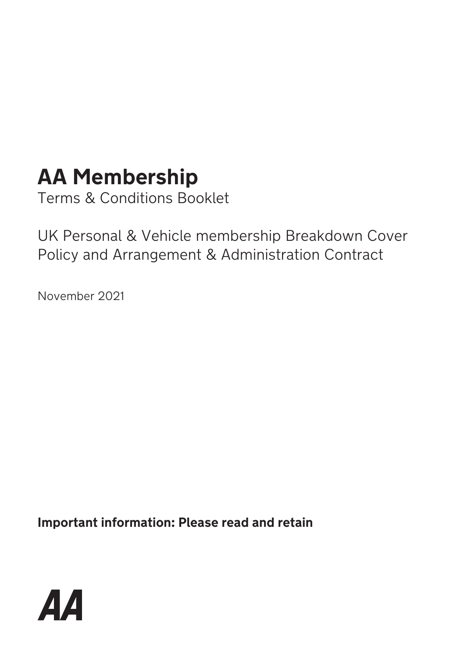# **AA Membership**

Terms & Conditions Booklet

UK Personal & Vehicle membership Breakdown Cover Policy and Arrangement & Administration Contract

November 2021

**Important information: Please read and retain**

$$
\boldsymbol{A}\boldsymbol{A}
$$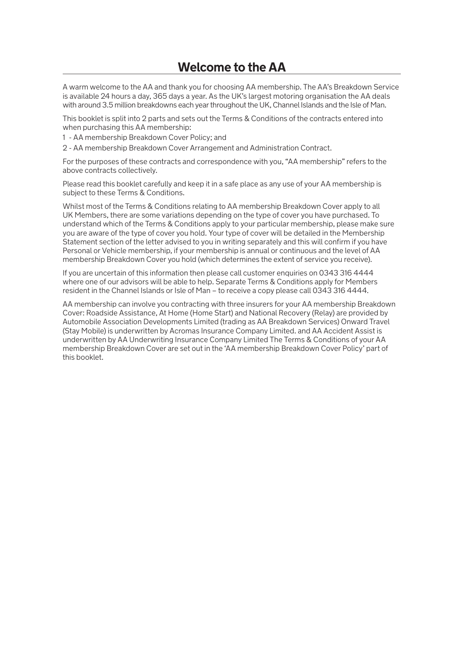A warm welcome to the AA and thank you for choosing AA membership. The AA's Breakdown Service is available 24 hours a day, 365 days a year. As the UK's largest motoring organisation the AA deals with around 3.5 million breakdowns each year throughout the UK, Channel Islands and the Isle of Man.

This booklet is split into 2 parts and sets out the Terms & Conditions of the contracts entered into when purchasing this AA membership:

1 - AA membership Breakdown Cover Policy; and

2 - AA membership Breakdown Cover Arrangement and Administration Contract.

For the purposes of these contracts and correspondence with you, "AA membership" refers to the above contracts collectively.

Please read this booklet carefully and keep it in a safe place as any use of your AA membership is subject to these Terms & Conditions.

Whilst most of the Terms & Conditions relating to AA membership Breakdown Cover apply to all UK Members, there are some variations depending on the type of cover you have purchased. To understand which of the Terms & Conditions apply to your particular membership, please make sure you are aware of the type of cover you hold. Your type of cover will be detailed in the Membership Statement section of the letter advised to you in writing separately and this will confirm if you have Personal or Vehicle membership, if your membership is annual or continuous and the level of AA membership Breakdown Cover you hold (which determines the extent of service you receive).

If you are uncertain of this information then please call customer enquiries on 0343 316 4444 where one of our advisors will be able to help. Separate Terms & Conditions apply for Members resident in the Channel Islands or Isle of Man – to receive a copy please call 0343 316 4444.

AA membership can involve you contracting with three insurers for your AA membership Breakdown Cover: Roadside Assistance, At Home (Home Start) and National Recovery (Relay) are provided by Automobile Association Developments Limited (trading as AA Breakdown Services) Onward Travel (Stay Mobile) is underwritten by Acromas Insurance Company Limited. and AA Accident Assist is underwritten by AA Underwriting Insurance Company Limited The Terms & Conditions of your AA membership Breakdown Cover are set out in the 'AA membership Breakdown Cover Policy' part of this booklet.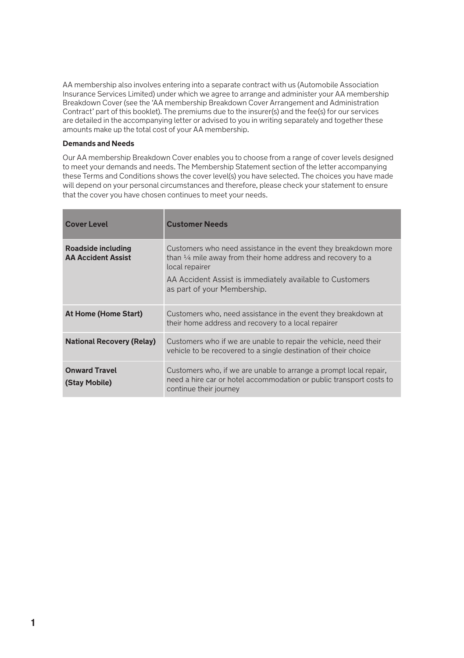AA membership also involves entering into a separate contract with us (Automobile Association Insurance Services Limited) under which we agree to arrange and administer your AA membership Breakdown Cover (see the 'AA membership Breakdown Cover Arrangement and Administration Contract' part of this booklet). The premiums due to the insurer(s) and the fee(s) for our services are detailed in the accompanying letter or advised to you in writing separately and together these amounts make up the total cost of your AA membership.

### **Demands and Needs**

Our AA membership Breakdown Cover enables you to choose from a range of cover levels designed to meet your demands and needs. The Membership Statement section of the letter accompanying these Terms and Conditions shows the cover level(s) you have selected. The choices you have made will depend on your personal circumstances and therefore, please check your statement to ensure that the cover you have chosen continues to meet your needs.

| <b>Cover Level</b>                              | <b>Customer Needs</b>                                                                                                                                                                                                                                 |
|-------------------------------------------------|-------------------------------------------------------------------------------------------------------------------------------------------------------------------------------------------------------------------------------------------------------|
| Roadside including<br><b>AA Accident Assist</b> | Customers who need assistance in the event they breakdown more<br>than $\frac{1}{4}$ mile away from their home address and recovery to a<br>local repairer<br>AA Accident Assist is immediately available to Customers<br>as part of your Membership. |
| At Home (Home Start)                            | Customers who, need assistance in the event they breakdown at<br>their home address and recovery to a local repairer                                                                                                                                  |
| <b>National Recovery (Relay)</b>                | Customers who if we are unable to repair the vehicle, need their<br>vehicle to be recovered to a single destination of their choice                                                                                                                   |
| <b>Onward Travel</b><br>(Stay Mobile)           | Customers who, if we are unable to arrange a prompt local repair,<br>need a hire car or hotel accommodation or public transport costs to<br>continue their journey                                                                                    |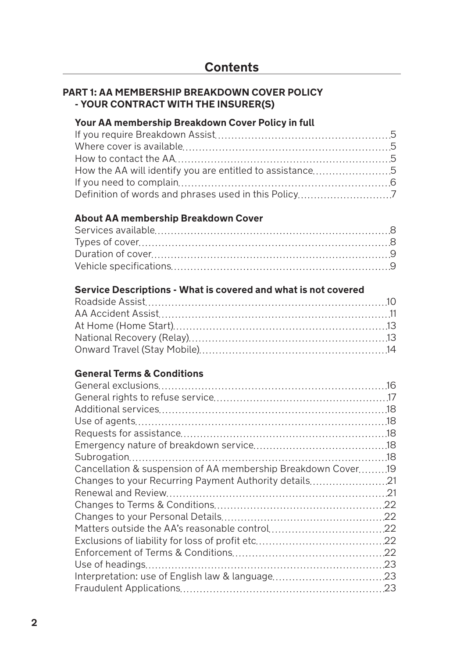### **PART 1: AA MEMBERSHIP BREAKDOWN COVER POLICY - YOUR CONTRACT WITH THE INSURER(S)**

### **Your AA membership Breakdown Cover Policy in full**

### **About AA membership Breakdown Cover**

### **Service Descriptions - What is covered and what is not covered**

### **General Terms & Conditions**

| Cancellation & suspension of AA membership Breakdown Cover19 |  |
|--------------------------------------------------------------|--|
| 21. Changes to your Recurring Payment Authority details      |  |
|                                                              |  |
|                                                              |  |
|                                                              |  |
|                                                              |  |
|                                                              |  |
|                                                              |  |
|                                                              |  |
|                                                              |  |
|                                                              |  |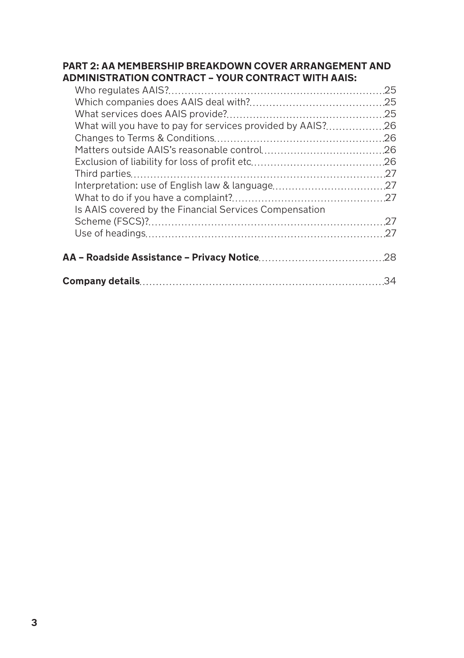### **PART 2: AA MEMBERSHIP BREAKDOWN COVER ARRANGEMENT AND ADMINISTRATION CONTRACT – YOUR CONTRACT WITH AAIS:**

| Is AAIS covered by the Financial Services Compensation |  |
|--------------------------------------------------------|--|
|                                                        |  |
|                                                        |  |
|                                                        |  |
|                                                        |  |
|                                                        |  |
|                                                        |  |
|                                                        |  |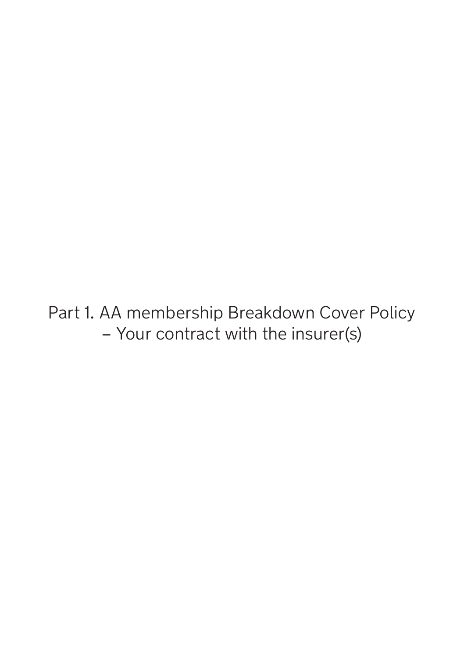Part 1. AA membership Breakdown Cover Policy – Your contract with the insurer(s)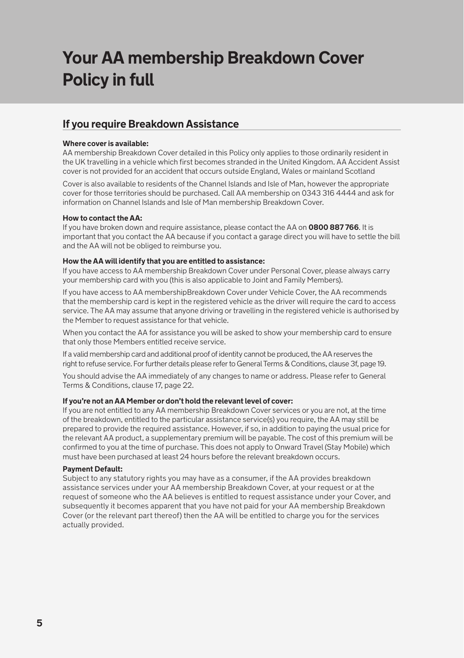## **Your AA membership Breakdown Cover Policy in full**

### **If you require Breakdown Assistance**

### **Where cover is available:**

AA membership Breakdown Cover detailed in this Policy only applies to those ordinarily resident in the UK travelling in a vehicle which first becomes stranded in the United Kingdom. AA Accident Assist cover is not provided for an accident that occurs outside England, Wales or mainland Scotland

Cover is also available to residents of the Channel Islands and Isle of Man, however the appropriate cover for those territories should be purchased. Call AA membership on 0343 316 4444 and ask for information on Channel Islands and Isle of Man membership Breakdown Cover.

#### **How to contact the AA:**

If you have broken down and require assistance, please contact the AA on **0800 887 766**. It is important that you contact the AA because if you contact a garage direct you will have to settle the bill and the AA will not be obliged to reimburse you.

#### **How the AA will identify that you are entitled to assistance:**

If you have access to AA membership Breakdown Cover under Personal Cover, please always carry your membership card with you (this is also applicable to Joint and Family Members).

If you have access to AA membershipBreakdown Cover under Vehicle Cover, the AA recommends that the membership card is kept in the registered vehicle as the driver will require the card to access service. The AA may assume that anyone driving or travelling in the registered vehicle is authorised by the Member to request assistance for that vehicle.

When you contact the AA for assistance you will be asked to show your membership card to ensure that only those Members entitled receive service.

If a valid membership card and additional proof of identity cannot be produced, the AA reserves the right to refuse service. For further details please refer to General Terms & Conditions, clause 3f, page 19.

You should advise the AA immediately of any changes to name or address. Please refer to General Terms & Conditions, clause 17, page 22.

### **If you're not an AA Member or don't hold the relevant level of cover:**

If you are not entitled to any AA membership Breakdown Cover services or you are not, at the time of the breakdown, entitled to the particular assistance service(s) you require, the AA may still be prepared to provide the required assistance. However, if so, in addition to paying the usual price for the relevant AA product, a supplementary premium will be payable. The cost of this premium will be confirmed to you at the time of purchase. This does not apply to Onward Travel (Stay Mobile) which must have been purchased at least 24 hours before the relevant breakdown occurs.

### **Payment Default:**

Subject to any statutory rights you may have as a consumer, if the AA provides breakdown assistance services under your AA membership Breakdown Cover, at your request or at the request of someone who the AA believes is entitled to request assistance under your Cover, and subsequently it becomes apparent that you have not paid for your AA membership Breakdown Cover (or the relevant part thereof) then the AA will be entitled to charge you for the services actually provided.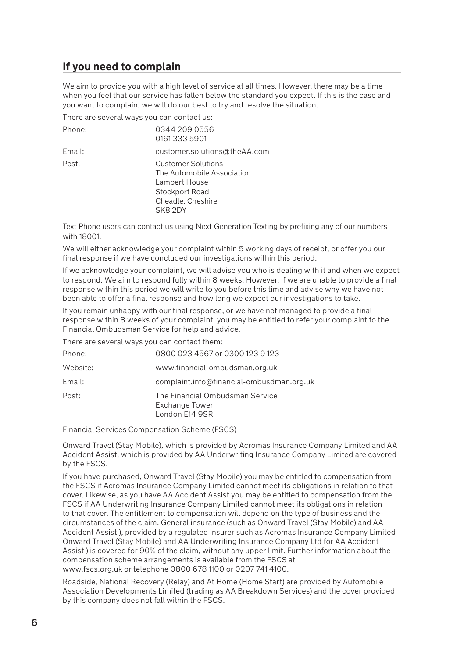### **If you need to complain**

We aim to provide you with a high level of service at all times. However, there may be a time when you feel that our service has fallen below the standard you expect. If this is the case and you want to complain, we will do our best to try and resolve the situation.

There are several ways you can contact us:

| Phone: | 0344 209 0556<br>01613335901                                                                                               |
|--------|----------------------------------------------------------------------------------------------------------------------------|
| Email: | customer.solutions@theAA.com                                                                                               |
| Post:  | <b>Customer Solutions</b><br>The Automobile Association<br>Lambert House<br>Stockport Road<br>Cheadle, Cheshire<br>SK8 2DY |

Text Phone users can contact us using Next Generation Texting by prefixing any of our numbers with 18001.

We will either acknowledge your complaint within 5 working days of receipt, or offer you our final response if we have concluded our investigations within this period.

If we acknowledge your complaint, we will advise you who is dealing with it and when we expect to respond. We aim to respond fully within 8 weeks. However, if we are unable to provide a final response within this period we will write to you before this time and advise why we have not been able to offer a final response and how long we expect our investigations to take.

If you remain unhappy with our final response, or we have not managed to provide a final response within 8 weeks of your complaint, you may be entitled to refer your complaint to the Financial Ombudsman Service for help and advice.

There are several ways you can contact them:

| Phone:   | 0800 023 4567 or 0300 123 9 123                                            |
|----------|----------------------------------------------------------------------------|
| Website: | www.financial-ombudsman.org.uk                                             |
| Email:   | complaint.info@financial-ombusdman.org.uk                                  |
| Post:    | The Financial Ombudsman Service<br><b>Exchange Tower</b><br>London E14 9SR |

Financial Services Compensation Scheme (FSCS)

Onward Travel (Stay Mobile), which is provided by Acromas Insurance Company Limited and AA Accident Assist, which is provided by AA Underwriting Insurance Company Limited are covered by the FSCS.

If you have purchased, Onward Travel (Stay Mobile) you may be entitled to compensation from the FSCS if Acromas Insurance Company Limited cannot meet its obligations in relation to that cover. Likewise, as you have AA Accident Assist you may be entitled to compensation from the FSCS if AA Underwriting Insurance Company Limited cannot meet its obligations in relation to that cover. The entitlement to compensation will depend on the type of business and the circumstances of the claim. General insurance (such as Onward Travel (Stay Mobile) and AA Accident Assist ), provided by a regulated insurer such as Acromas Insurance Company Limited Onward Travel (Stay Mobile) and AA Underwriting Insurance Company Ltd for AA Accident Assist ) is covered for 90% of the claim, without any upper limit. Further information about the compensation scheme arrangements is available from the FSCS at www.fscs.org.uk or telephone 0800 678 1100 or 0207 741 4100.

Roadside, National Recovery (Relay) and At Home (Home Start) are provided by Automobile Association Developments Limited (trading as AA Breakdown Services) and the cover provided by this company does not fall within the FSCS.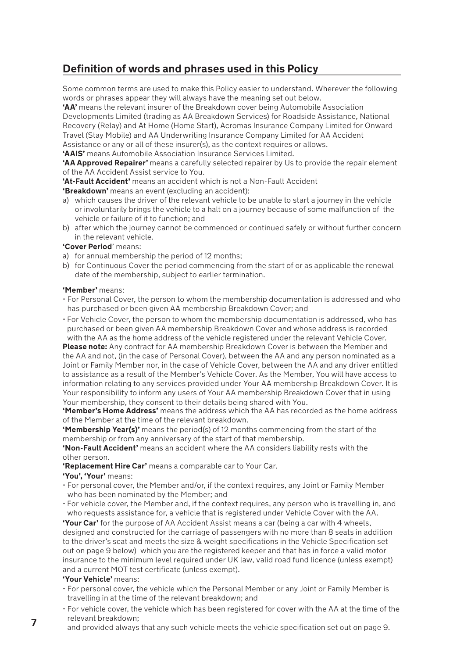### **Definition of words and phrases used in this Policy**

Some common terms are used to make this Policy easier to understand. Wherever the following words or phrases appear they will always have the meaning set out below.

**'AA'** means the relevant insurer of the Breakdown cover being Automobile Association Developments Limited (trading as AA Breakdown Services) for Roadside Assistance, National Recovery (Relay) and At Home (Home Start), Acromas Insurance Company Limited for Onward Travel (Stay Mobile) and AA Underwriting Insurance Company Limited for AA Accident Assistance or any or all of these insurer(s), as the context requires or allows.

**'AAIS'** means Automobile Association Insurance Services Limited.

**'AA Approved Repairer'** means a carefully selected repairer by Us to provide the repair element of the AA Accident Assist service to You.

**'At-Fault Accident'** means an accident which is not a Non-Fault Accident

**'Breakdown'** means an event (excluding an accident):

- a) which causes the driver of the relevant vehicle to be unable to start a journey in the vehicle or involuntarily brings the vehicle to a halt on a journey because of some malfunction of the vehicle or failure of it to function; and
- b) after which the journey cannot be commenced or continued safely or without further concern in the relevant vehicle.

### **'Cover Period**' means:

- a) for annual membership the period of 12 months;
- b) for Continuous Cover the period commencing from the start of or as applicable the renewal date of the membership, subject to earlier termination.

#### **'Member'** means:

- For Personal Cover, the person to whom the membership documentation is addressed and who has purchased or been given AA membership Breakdown Cover; and
- For Vehicle Cover, the person to whom the membership documentation is addressed, who has purchased or been given AA membership Breakdown Cover and whose address is recorded with the AA as the home address of the vehicle registered under the relevant Vehicle Cover.

**Please note:** Any contract for AA membership Breakdown Cover is between the Member and the AA and not, (in the case of Personal Cover), between the AA and any person nominated as a Joint or Family Member nor, in the case of Vehicle Cover, between the AA and any driver entitled to assistance as a result of the Member's Vehicle Cover. As the Member, You will have access to information relating to any services provided under Your AA membership Breakdown Cover. It is Your responsibility to inform any users of Your AA membership Breakdown Cover that in using Your membership, they consent to their details being shared with You.

**'Member's Home Address'** means the address which the AA has recorded as the home address of the Member at the time of the relevant breakdown.

**'Membership Year(s)'** means the period(s) of 12 months commencing from the start of the membership or from any anniversary of the start of that membership.

**'Non-Fault Accident'** means an accident where the AA considers liability rests with the other person.

**'Replacement Hire Car'** means a comparable car to Your Car.

**'You', 'Your'** means:

- For personal cover, the Member and/or, if the context requires, any Joint or Family Member who has been nominated by the Member; and
- For vehicle cover, the Member and, if the context requires, any person who is travelling in, and who requests assistance for, a vehicle that is registered under Vehicle Cover with the AA.

**'Your Car'** for the purpose of AA Accident Assist means a car (being a car with 4 wheels, designed and constructed for the carriage of passengers with no more than 8 seats in addition to the driver's seat and meets the size & weight specifications in the Vehicle Specification set out on page 9 below) which you are the registered keeper and that has in force a valid motor insurance to the minimum level required under UK law, valid road fund licence (unless exempt) and a current MOT test certificate (unless exempt).

### **'Your Vehicle'** means:

- For personal cover, the vehicle which the Personal Member or any Joint or Family Member is travelling in at the time of the relevant breakdown; and
- For vehicle cover, the vehicle which has been registered for cover with the AA at the time of the relevant breakdown;
- and provided always that any such vehicle meets the vehicle specification set out on page 9.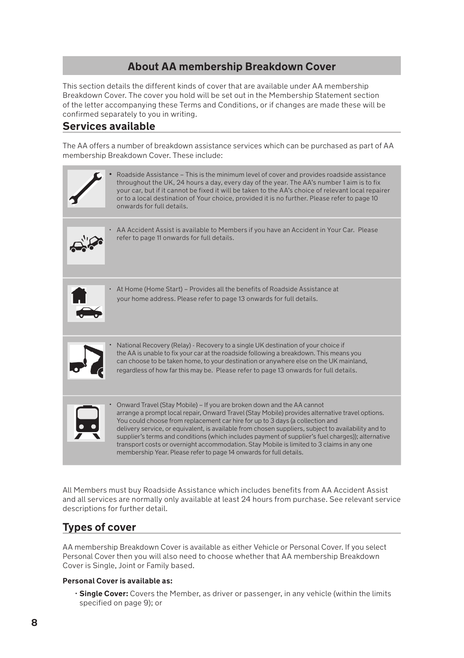### **About AA membership Breakdown Cover**

This section details the different kinds of cover that are available under AA membership Breakdown Cover. The cover you hold will be set out in the Membership Statement section of the letter accompanying these Terms and Conditions, or if changes are made these will be confirmed separately to you in writing.

### **Services available**

The AA offers a number of breakdown assistance services which can be purchased as part of AA membership Breakdown Cover. These include:



All Members must buy Roadside Assistance which includes benefits from AA Accident Assist and all services are normally only available at least 24 hours from purchase. See relevant service descriptions for further detail.

### **Types of cover**

AA membership Breakdown Cover is available as either Vehicle or Personal Cover. If you select Personal Cover then you will also need to choose whether that AA membership Breakdown Cover is Single, Joint or Family based.

### **Personal Cover is available as:**

• **Single Cover:** Covers the Member, as driver or passenger, in any vehicle (within the limits specified on page 9); or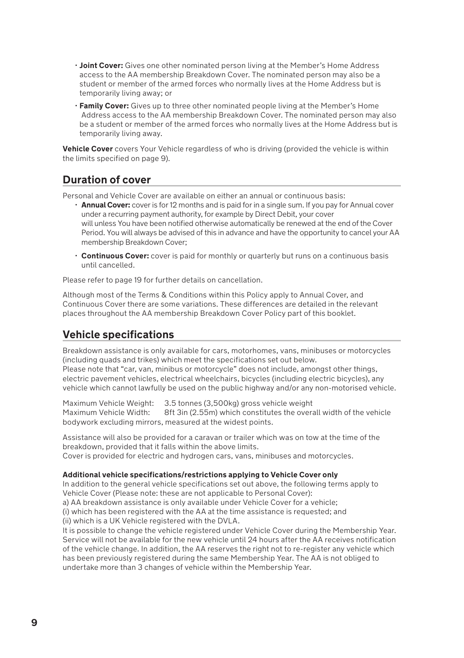- **Joint Cover:** Gives one other nominated person living at the Member's Home Address access to the AA membership Breakdown Cover. The nominated person may also be a student or member of the armed forces who normally lives at the Home Address but is temporarily living away; or
- **Family Cover:** Gives up to three other nominated people living at the Member's Home Address access to the AA membership Breakdown Cover. The nominated person may also be a student or member of the armed forces who normally lives at the Home Address but is temporarily living away.

**Vehicle Cover** covers Your Vehicle regardless of who is driving (provided the vehicle is within the limits specified on page 9).

### **Duration of cover**

Personal and Vehicle Cover are available on either an annual or continuous basis:

- **Annual Cover:** cover is for 12 months and is paid for in a single sum. If you pay for Annual cover under a recurring payment authority, for example by Direct Debit, your cover will unless You have been notified otherwise automatically be renewed at the end of the Cover Period. You will always be advised of this in advance and have the opportunity to cancel your AA membership Breakdown Cover;
- **Continuous Cover:** cover is paid for monthly or quarterly but runs on a continuous basis until cancelled.

Please refer to page 19 for further details on cancellation.

Although most of the Terms & Conditions within this Policy apply to Annual Cover, and Continuous Cover there are some variations. These differences are detailed in the relevant places throughout the AA membership Breakdown Cover Policy part of this booklet.

### **Vehicle specifications**

Breakdown assistance is only available for cars, motorhomes, vans, minibuses or motorcycles (including quads and trikes) which meet the specifications set out below. Please note that "car, van, minibus or motorcycle" does not include, amongst other things, electric pavement vehicles, electrical wheelchairs, bicycles (including electric bicycles), any

vehicle which cannot lawfully be used on the public highway and/or any non-motorised vehicle.

Maximum Vehicle Weight: 3.5 tonnes (3,500kg) gross vehicle weight 8ft 3in (2.55m) which constitutes the overall width of the vehicle bodywork excluding mirrors, measured at the widest points.

Assistance will also be provided for a caravan or trailer which was on tow at the time of the breakdown, provided that it falls within the above limits.

Cover is provided for electric and hydrogen cars, vans, minibuses and motorcycles.

### **Additional vehicle specifications/restrictions applying to Vehicle Cover only**

In addition to the general vehicle specifications set out above, the following terms apply to Vehicle Cover (Please note: these are not applicable to Personal Cover):

a) AA breakdown assistance is only available under Vehicle Cover for a vehicle;

(i) which has been registered with the AA at the time assistance is requested; and (ii) which is a UK Vehicle registered with the DVLA.

It is possible to change the vehicle registered under Vehicle Cover during the Membership Year. Service will not be available for the new vehicle until 24 hours after the AA receives notification of the vehicle change. In addition, the AA reserves the right not to re-register any vehicle which has been previously registered during the same Membership Year. The AA is not obliged to undertake more than 3 changes of vehicle within the Membership Year.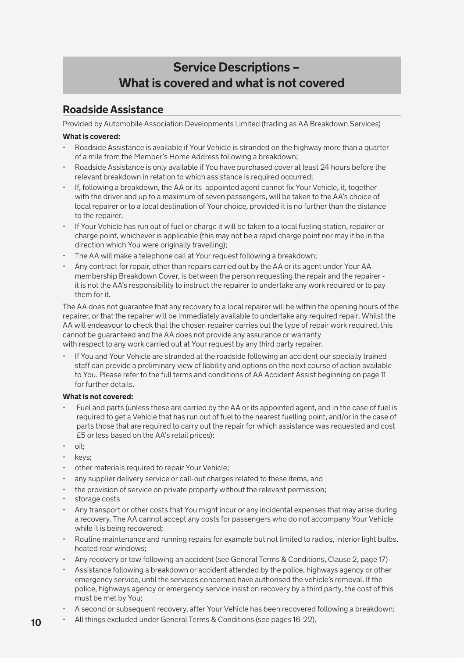### **Service Descriptions – What is covered and what is not covered**

### **Roadside Assistance**

Provided by Automobile Association Developments Limited (trading as AA Breakdown Services)

### **What is covered:**

- Roadside Assistance is available if Your Vehicle is stranded on the highway more than a quarter of a mile from the Member's Home Address following a breakdown;
- Roadside Assistance is only available if You have purchased cover at least 24 hours before the relevant breakdown in relation to which assistance is required occurred;
- If, following a breakdown, the AA or its appointed agent cannot fix Your Vehicle, it, together with the driver and up to a maximum of seven passengers, will be taken to the AA's choice of local repairer or to a local destination of Your choice, provided it is no further than the distance to the repairer.
- If Your Vehicle has run out of fuel or charge it will be taken to a local fueling station, repairer or charge point, whichever is applicable (this may not be a rapid charge point nor may it be in the direction which You were originally travelling);
- The AA will make a telephone call at Your request following a breakdown;
- Any contract for repair, other than repairs carried out by the AA or its agent under Your AA membership Breakdown Cover, is between the person requesting the repair and the repairer it is not the AA's responsibility to instruct the repairer to undertake any work required or to pay them for it.

The AA does not guarantee that any recovery to a local repairer will be within the opening hours of the repairer, or that the repairer will be immediately available to undertake any required repair. Whilst the AA will endeavour to check that the chosen repairer carries out the type of repair work required, this cannot be guaranteed and the AA does not provide any assurance or warranty with respect to any work carried out at Your request by any third party repairer.

• If You and Your Vehicle are stranded at the roadside following an accident our specially trained staff can provide a preliminary view of liability and options on the next course of action available to You. Please refer to the full terms and conditions of AA Accident Assist beginning on page 11 for further details.

### **What is not covered:**

- Fuel and parts (unless these are carried by the AA or its appointed agent, and in the case of fuel is required to get a Vehicle that has run out of fuel to the nearest fuelling point, and/or in the case of parts those that are required to carry out the repair for which assistance was requested and cost £5 or less based on the AA's retail prices);
- oil;
- keys:
- other materials required to repair Your Vehicle;
- any supplier delivery service or call-out charges related to these items, and
- the provision of service on private property without the relevant permission:
- storage costs
- Any transport or other costs that You might incur or any incidental expenses that may arise during a recovery. The AA cannot accept any costs for passengers who do not accompany Your Vehicle while it is being recovered;
- Routine maintenance and running repairs for example but not limited to radios, interior light bulbs, heated rear windows;
- Any recovery or tow following an accident (see General Terms & Conditions, Clause 2, page 17)
- Assistance following a breakdown or accident attended by the police, highways agency or other emergency service, until the services concerned have authorised the vehicle's removal. If the police, highways agency or emergency service insist on recovery by a third party, the cost of this must be met by You;
- A second or subsequent recovery, after Your Vehicle has been recovered following a breakdown;
- All things excluded under General Terms & Conditions (see pages 16-22).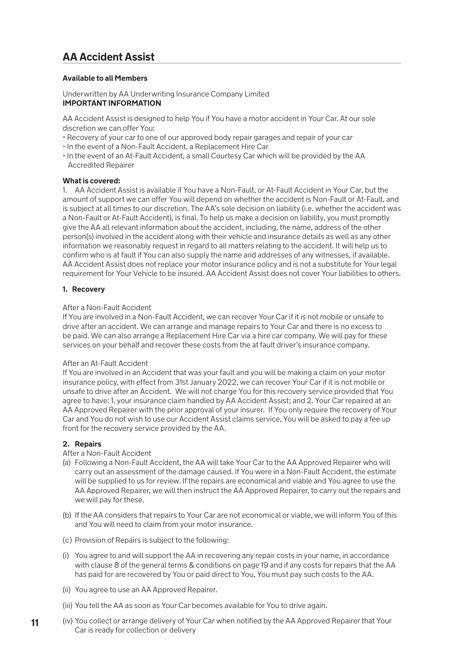### **AA Accident Assist**

#### **Available to all Members**

Underwritten by AA Underwriting Insurance Company Limited **IMPORTANT INFORMATION**

AA Accident Assist is designed to help You if You have a motor accident in Your Car. At our sole discretion we can offer You:

- Recovery of your car to one of our approved body repair garages and repair of your car
- In the event of a Non-Fault Accident, a Replacement Hire Car
- In the event of an At-Fault Accident, a small Courtesy Car which will be provided by the AA Accredited Repairer

#### **What is covered:**

1. AA Accident Assist is available if You have a Non-Fault, or At-Fault Accident in Your Car, but the amount of support we can offer You will depend on whether the accident is Non-Fault or At-Fault, and is subject at all times to our discretion. The AA's sole decision on liability (i.e. whether the accident was a Non-Fault or At-Fault Accident), is final. To help us make a decision on liability, you must promptly give the AA all relevant information about the accident, including, the name, address of the other person(s) involved in the accident along with their vehicle and insurance details as well as any other information we reasonably request in regard to all matters relating to the accident. It will help us to confirm who is at fault if You can also supply the name and addresses of any witnesses, if available. AA Accident Assist does not replace your motor insurance policy and is not a substitute for Your legal requirement for Your Vehicle to be insured. AA Accident Assist does not cover Your liabilities to others.

#### **1. Recovery**

#### After a Non-Fault Accident

If You are involved in a Non-Fault Accident, we can recover Your Car if it is not mobile or unsafe to drive after an accident. We can arrange and manage repairs to Your Car and there is no excess to be paid. We can also arrange a Replacement Hire Car via a hire car company. We will pay for these services on your behalf and recover these costs from the at fault driver's insurance company.

#### After an At-Fault Accident

If You are involved in an Accident that was your fault and you will be making a claim on your motor insurance policy, with effect from 31st January 2022, we can recover Your Car if it is not mobile or unsafe to drive after an Accident. We will not charge You for this recovery service provided that You agree to have: 1. your insurance claim handled by AA Accident Assist; and 2. Your Car repaired at an AA Approved Repairer with the prior approval of your insurer. If You only require the recovery of Your Car and You do not wish to use our Accident Assist claims service, You will be asked to pay a fee up front for the recovery service provided by the AA.

### **2. Repairs**

### After a Non-Fault Accident

- (a) Following a Non-Fault Accident, the AA will take Your Car to the AA Approved Repairer who will carry out an assessment of the damage caused. If You were in a Non-Fault Accident, the estimate will be supplied to us for review. If the repairs are economical and viable and You agree to use the AA Approved Repairer, we will then instruct the AA Approved Repairer, to carry out the repairs and we will pay for these.
- (b) If the AA considers that repairs to Your Car are not economical or viable, we will inform You of this and You will need to claim from your motor insurance.
- ( c) Provision of Repairs is subject to the following:
- (i) You agree to and will support the AA in recovering any repair costs in your name, in accordance with clause 8 of the general terms & conditions on page 19 and if any costs for repairs that the AA has paid for are recovered by You or paid direct to You, You must pay such costs to the AA.
- (ii) You agree to use an AA Approved Repairer.
- (iii) You tell the AA as soon as Your Car becomes available for You to drive again.
- **11** (iv) You collect or arrange delivery of Your Car when notified by the AA Approved Repairer that Your Car is ready for collection or delivery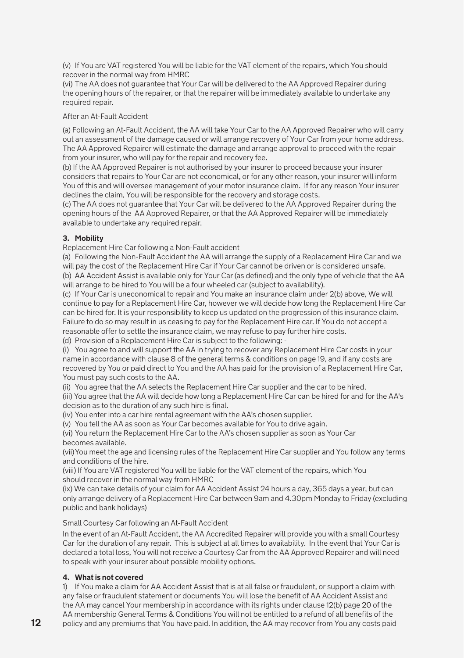(v) If You are VAT registered You will be liable for the VAT element of the repairs, which You should recover in the normal way from HMRC

(vi) The AA does not guarantee that Your Car will be delivered to the AA Approved Repairer during the opening hours of the repairer, or that the repairer will be immediately available to undertake any required repair.

### After an At-Fault Accident

(a) Following an At-Fault Accident, the AA will take Your Car to the AA Approved Repairer who will carry out an assessment of the damage caused or will arrange recovery of Your Car from your home address. The AA Approved Repairer will estimate the damage and arrange approval to proceed with the repair from your insurer, who will pay for the repair and recovery fee.

(b) If the AA Approved Repairer is not authorised by your insurer to proceed because your insurer considers that repairs to Your Car are not economical, or for any other reason, your insurer will inform You of this and will oversee management of your motor insurance claim. If for any reason Your insurer declines the claim, You will be responsible for the recovery and storage costs.

( c) The AA does not guarantee that Your Car will be delivered to the AA Approved Repairer during the opening hours of the AA Approved Repairer, or that the AA Approved Repairer will be immediately available to undertake any required repair.

### **3. Mobility**

Replacement Hire Car following a Non-Fault accident

(a) Following the Non-Fault Accident the AA will arrange the supply of a Replacement Hire Car and we will pay the cost of the Replacement Hire Car if Your Car cannot be driven or is considered unsafe. (b) AA Accident Assist is available only for Your Car (as defined) and the only type of vehicle that the AA

will arrange to be hired to You will be a four wheeled car (subject to availability).

( c) If Your Car is uneconomical to repair and You make an insurance claim under 2(b) above, We will continue to pay for a Replacement Hire Car, however we will decide how long the Replacement Hire Car can be hired for. It is your responsibility to keep us updated on the progression of this insurance claim. Failure to do so may result in us ceasing to pay for the Replacement Hire car. If You do not accept a reasonable offer to settle the insurance claim, we may refuse to pay further hire costs.

(d) Provision of a Replacement Hire Car is subject to the following: -

(i) You agree to and will support the AA in trying to recover any Replacement Hire Car costs in your name in accordance with clause 8 of the general terms & conditions on page 19, and if any costs are recovered by You or paid direct to You and the AA has paid for the provision of a Replacement Hire Car, You must pay such costs to the AA.

(ii) You agree that the AA selects the Replacement Hire Car supplier and the car to be hired.

(iii) You agree that the AA will decide how long a Replacement Hire Car can be hired for and for the AA's decision as to the duration of any such hire is final.

(iv) You enter into a car hire rental agreement with the AA's chosen supplier.

(v) You tell the AA as soon as Your Car becomes available for You to drive again.

(vi) You return the Replacement Hire Car to the AA's chosen supplier as soon as Your Car becomes available.

(vii)You meet the age and licensing rules of the Replacement Hire Car supplier and You follow any terms and conditions of the hire.

(viii) If You are VAT registered You will be liable for the VAT element of the repairs, which You should recover in the normal way from HMRC

(ix) We can take details of your claim for AA Accident Assist 24 hours a day, 365 days a year, but can only arrange delivery of a Replacement Hire Car between 9am and 4.30pm Monday to Friday (excluding public and bank holidays)

Small Courtesy Car following an At-Fault Accident

In the event of an At-Fault Accident, the AA Accredited Repairer will provide you with a small Courtesy Car for the duration of any repair. This is subject at all times to availability. In the event that Your Car is declared a total loss, You will not receive a Courtesy Car from the AA Approved Repairer and will need to speak with your insurer about possible mobility options.

### **4. What is not covered**

1) If You make a claim for AA Accident Assist that is at all false or fraudulent, or support a claim with any false or fraudulent statement or documents You will lose the benefit of AA Accident Assist and the AA may cancel Your membership in accordance with its rights under clause 12(b) page 20 of the AA membership General Terms & Conditions You will not be entitled to a refund of all benefits of the policy and any premiums that You have paid. In addition, the AA may recover from You any costs paid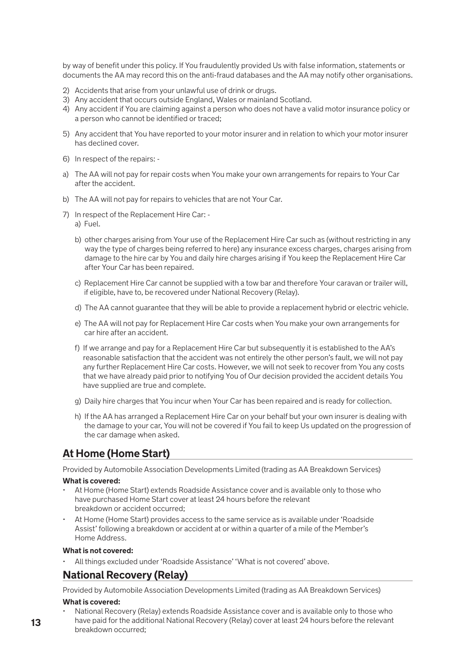by way of benefit under this policy. If You fraudulently provided Us with false information, statements or documents the AA may record this on the anti-fraud databases and the AA may notify other organisations.

- 2) Accidents that arise from your unlawful use of drink or drugs.
- 3) Any accident that occurs outside England, Wales or mainland Scotland.
- 4) Any accident if You are claiming against a person who does not have a valid motor insurance policy or a person who cannot be identified or traced;
- 5) Any accident that You have reported to your motor insurer and in relation to which your motor insurer has declined cover.
- 6) In respect of the repairs: -
- a) The AA will not pay for repair costs when You make your own arrangements for repairs to Your Car after the accident.
- b) The AA will not pay for repairs to vehicles that are not Your Car.
- 7) In respect of the Replacement Hire Car:
	- a) Fuel.
	- b) other charges arising from Your use of the Replacement Hire Car such as (without restricting in any way the type of charges being referred to here) any insurance excess charges, charges arising from damage to the hire car by You and daily hire charges arising if You keep the Replacement Hire Car after Your Car has been repaired.
	- c) Replacement Hire Car cannot be supplied with a tow bar and therefore Your caravan or trailer will, if eligible, have to, be recovered under National Recovery (Relay).
	- d) The AA cannot guarantee that they will be able to provide a replacement hybrid or electric vehicle.
	- e) The AA will not pay for Replacement Hire Car costs when You make your own arrangements for car hire after an accident.
	- f) If we arrange and pay for a Replacement Hire Car but subsequently it is established to the AA's reasonable satisfaction that the accident was not entirely the other person's fault, we will not pay any further Replacement Hire Car costs. However, we will not seek to recover from You any costs that we have already paid prior to notifying You of Our decision provided the accident details You have supplied are true and complete.
	- g) Daily hire charges that You incur when Your Car has been repaired and is ready for collection.
	- h) If the AA has arranged a Replacement Hire Car on your behalf but your own insurer is dealing with the damage to your car, You will not be covered if You fail to keep Us updated on the progression of the car damage when asked.

### **At Home (Home Start)**

Provided by Automobile Association Developments Limited (trading as AA Breakdown Services)

### **What is covered:**

- At Home (Home Start) extends Roadside Assistance cover and is available only to those who have purchased Home Start cover at least 24 hours before the relevant breakdown or accident occurred;
- At Home (Home Start) provides access to the same service as is available under 'Roadside Assist' following a breakdown or accident at or within a quarter of a mile of the Member's Home Address.

### **What is not covered:**

• All things excluded under 'Roadside Assistance' 'What is not covered' above.

### **National Recovery (Relay)**

Provided by Automobile Association Developments Limited (trading as AA Breakdown Services) **What is covered:**

• National Recovery (Relay) extends Roadside Assistance cover and is available only to those who have paid for the additional National Recovery (Relay) cover at least 24 hours before the relevant breakdown occurred;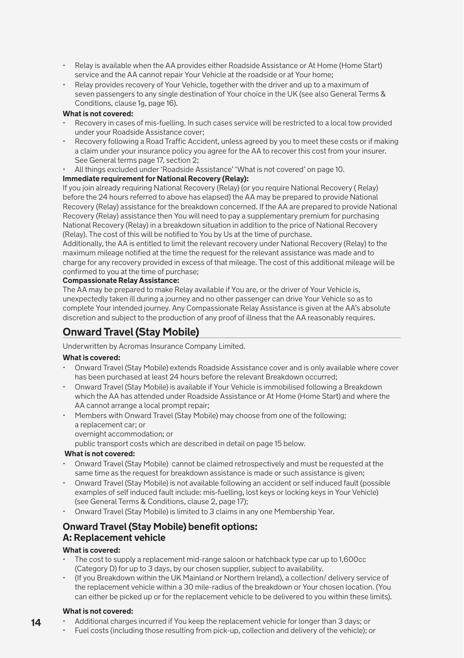- Relay is available when the AA provides either Roadside Assistance or At Home (Home Start) service and the AA cannot repair Your Vehicle at the roadside or at Your home;
- Relay provides recovery of Your Vehicle, together with the driver and up to a maximum of seven passengers to any single destination of Your choice in the UK (see also General Terms & Conditions, clause 1g, page 16).

### **What is not covered:**

- Recovery in cases of mis-fuelling. In such cases service will be restricted to a local tow provided under your Roadside Assistance cover;
- Recovery following a Road Traffic Accident, unless agreed by you to meet these costs or if making a claim under your insurance policy you agree for the AA to recover this cost from your insurer. See General terms page 17, section 2;
- All things excluded under 'Roadside Assistance' 'What is not covered' on page 10.

### **Immediate requirement for National Recovery (Relay):**

If you join already requiring National Recovery (Relay) (or you require National Recovery ( Relay) before the 24 hours referred to above has elapsed) the AA may be prepared to provide National Recovery (Relay) assistance for the breakdown concerned. If the AA are prepared to provide National Recovery (Relay) assistance then You will need to pay a supplementary premium for purchasing National Recovery (Relay) in a breakdown situation in addition to the price of National Recovery (Relay). The cost of this will be notified to You by Us at the time of purchase.

Additionally, the AA is entitled to limit the relevant recovery under National Recovery (Relay) to the maximum mileage notified at the time the request for the relevant assistance was made and to charge for any recovery provided in excess of that mileage. The cost of this additional mileage will be confirmed to you at the time of purchase;

### **Compassionate Relay Assistance:**

The AA may be prepared to make Relay available if You are, or the driver of Your Vehicle is, unexpectedly taken ill during a journey and no other passenger can drive Your Vehicle so as to complete Your intended journey. Any Compassionate Relay Assistance is given at the AA's absolute discretion and subject to the production of any proof of illness that the AA reasonably requires.

### **Onward Travel (Stay Mobile)**

Underwritten by Acromas Insurance Company Limited.

### **What is covered:**

- Onward Travel (Stay Mobile) extends Roadside Assistance cover and is only available where cover has been purchased at least 24 hours before the relevant Breakdown occurred;
- Onward Travel (Stay Mobile) is available if Your Vehicle is immobilised following a Breakdown which the AA has attended under Roadside Assistance or At Home (Home Start) and where the AA cannot arrange a local prompt repair;
- Members with Onward Travel (Stay Mobile) may choose from one of the following; a replacement car; or overnight accommodation; or

public transport costs which are described in detail on page 15 below.

### **What is not covered:**

- Onward Travel (Stay Mobile) cannot be claimed retrospectively and must be requested at the same time as the request for breakdown assistance is made or such assistance is given;
- Onward Travel (Stay Mobile) is not available following an accident or self induced fault (possible examples of self induced fault include: mis-fuelling, lost keys or locking keys in Your Vehicle) (see General Terms & Conditions, clause 2, page 17);
- Onward Travel (Stay Mobile) is limited to 3 claims in any one Membership Year.

### **Onward Travel (Stay Mobile) benefit options: A: Replacement vehicle**

### **What is covered:**

- $\cdot$  The cost to supply a replacement mid-range saloon or hatchback type car up to 1,600cc. (Category D) for up to 3 days, by our chosen supplier, subject to availability.
- (If you Breakdown within the UK Mainland or Northern Ireland), a collection/ delivery service of the replacement vehicle within a 30 mile-radius of the breakdown or Your chosen location. (You can either be picked up or for the replacement vehicle to be delivered to you within these limits).

### **What is not covered:**

- **14** • Additional charges incurred if You keep the replacement vehicle for longer than 3 days; or
	- Fuel costs (including those resulting from pick-up, collection and delivery of the vehicle); or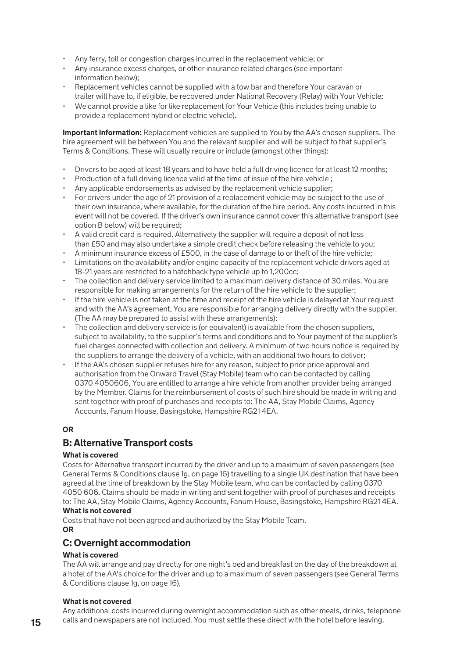- Any ferry, toll or congestion charges incurred in the replacement vehicle; or
- Any insurance excess charges, or other insurance related charges (see important information below);
- Replacement vehicles cannot be supplied with a tow bar and therefore Your caravan or trailer will have to, if eligible, be recovered under National Recovery (Relay) with Your Vehicle;
- We cannot provide a like for like replacement for Your Vehicle (this includes being unable to provide a replacement hybrid or electric vehicle).

**Important Information:** Replacement vehicles are supplied to You by the AA's chosen suppliers. The hire agreement will be between You and the relevant supplier and will be subject to that supplier's Terms & Conditions. These will usually require or include (amongst other things):

- Drivers to be aged at least 18 years and to have held a full driving licence for at least 12 months;
- Production of a full driving licence valid at the time of issue of the hire vehicle ;
- Any applicable endorsements as advised by the replacement vehicle supplier;
- For drivers under the age of 21 provision of a replacement vehicle may be subject to the use of their own insurance, where available, for the duration of the hire period. Any costs incurred in this event will not be covered. If the driver's own insurance cannot cover this alternative transport (see option B below) will be required;
- A valid credit card is required. Alternatively the supplier will require a deposit of not less than £50 and may also undertake a simple credit check before releasing the vehicle to you;
- A minimum insurance excess of £500, in the case of damage to or theft of the hire vehicle;
- Limitations on the availability and/or engine capacity of the replacement vehicle drivers aged at 18-21 years are restricted to a hatchback type vehicle up to 1,200cc;
- The collection and delivery service limited to a maximum delivery distance of 30 miles. You are responsible for making arrangements for the return of the hire vehicle to the supplier;
- If the hire vehicle is not taken at the time and receipt of the hire vehicle is delayed at Your request and with the AA's agreement, You are responsible for arranging delivery directly with the supplier. (The AA may be prepared to assist with these arrangements);
- $\cdot$  The collection and delivery service is (or equivalent) is available from the chosen suppliers. subject to availability, to the supplier's terms and conditions and to Your payment of the supplier's fuel charges connected with collection and delivery. A minimum of two hours notice is required by the suppliers to arrange the delivery of a vehicle, with an additional two hours to deliver;
- If the AA's chosen supplier refuses hire for any reason, subject to prior price approval and authorisation from the Onward Travel (Stay Mobile) team who can be contacted by calling 0370 4050606, You are entitled to arrange a hire vehicle from another provider being arranged by the Member. Claims for the reimbursement of costs of such hire should be made in writing and sent together with proof of purchases and receipts to: The AA, Stay Mobile Claims, Agency Accounts, Fanum House, Basingstoke, Hampshire RG21 4EA.

### **OR**

### **B: Alternative Transport costs**

### **What is covered**

Costs for Alternative transport incurred by the driver and up to a maximum of seven passengers (see General Terms & Conditions clause 1g, on page 16) travelling to a single UK destination that have been agreed at the time of breakdown by the Stay Mobile team, who can be contacted by calling 0370 4050 606. Claims should be made in writing and sent together with proof of purchases and receipts to: The AA, Stay Mobile Claims, Agency Accounts, Fanum House, Basingstoke, Hampshire RG21 4EA. **What is not covered** 

Costs that have not been agreed and authorized by the Stay Mobile Team.

### **OR**

### **C: Overnight accommodation**

### **What is covered**

The AA will arrange and pay directly for one night's bed and breakfast on the day of the breakdown at a hotel of the AA's choice for the driver and up to a maximum of seven passengers (see General Terms & Conditions clause 1g, on page 16).

### **What is not covered**

Any additional costs incurred during overnight accommodation such as other meals, drinks, telephone calls and newspapers are not included. You must settle these direct with the hotel before leaving.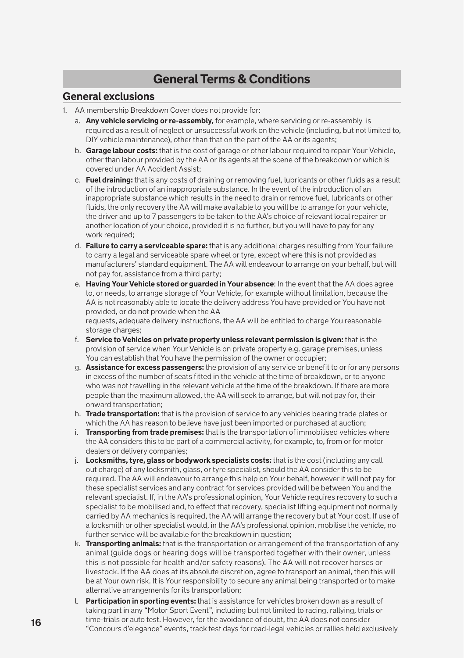### **General Terms & Conditions**

### **General exclusions**

- 1. AA membership Breakdown Cover does not provide for:
	- a. **Any vehicle servicing or re-assembly,** for example, where servicing or re-assembly is required as a result of neglect or unsuccessful work on the vehicle (including, but not limited to, DIY vehicle maintenance), other than that on the part of the AA or its agents;
	- b. **Garage labour costs:** that is the cost of garage or other labour required to repair Your Vehicle, other than labour provided by the AA or its agents at the scene of the breakdown or which is covered under AA Accident Assist;
	- c. **Fuel draining:** that is any costs of draining or removing fuel, lubricants or other fluids as a result of the introduction of an inappropriate substance. In the event of the introduction of an inappropriate substance which results in the need to drain or remove fuel, lubricants or other fluids, the only recovery the AA will make available to you will be to arrange for your vehicle, the driver and up to 7 passengers to be taken to the AA's choice of relevant local repairer or another location of your choice, provided it is no further, but you will have to pay for any work required:
	- d. **Failure to carry a serviceable spare:** that is any additional charges resulting from Your failure to carry a legal and serviceable spare wheel or tyre, except where this is not provided as manufacturers' standard equipment. The AA will endeavour to arrange on your behalf, but will not pay for, assistance from a third party;
	- e. **Having Your Vehicle stored or guarded in Your absence**: In the event that the AA does agree to, or needs, to arrange storage of Your Vehicle, for example without limitation, because the AA is not reasonably able to locate the delivery address You have provided or You have not provided, or do not provide when the AA requests, adequate delivery instructions, the AA will be entitled to charge You reasonable

storage charges; f. **Service to Vehicles on private property unless relevant permission is given:** that is the

- provision of service when Your Vehicle is on private property e.g. garage premises, unless You can establish that You have the permission of the owner or occupier;
- g. **Assistance for excess passengers:** the provision of any service or benefit to or for any persons in excess of the number of seats fitted in the vehicle at the time of breakdown, or to anyone who was not travelling in the relevant vehicle at the time of the breakdown. If there are more people than the maximum allowed, the AA will seek to arrange, but will not pay for, their onward transportation;
- h. **Trade transportation:** that is the provision of service to any vehicles bearing trade plates or which the AA has reason to believe have just been imported or purchased at auction;
- i. **Transporting from trade premises:** that is the transportation of immobilised vehicles where the AA considers this to be part of a commercial activity, for example, to, from or for motor dealers or delivery companies;
- j. **Locksmiths, tyre, glass or bodywork specialists costs:** that is the cost (including any call out charge) of any locksmith, glass, or tyre specialist, should the AA consider this to be required. The AA will endeavour to arrange this help on Your behalf, however it will not pay for these specialist services and any contract for services provided will be between You and the relevant specialist. If, in the AA's professional opinion, Your Vehicle requires recovery to such a specialist to be mobilised and, to effect that recovery, specialist lifting equipment not normally carried by AA mechanics is required, the AA will arrange the recovery but at Your cost. If use of a locksmith or other specialist would, in the AA's professional opinion, mobilise the vehicle, no further service will be available for the breakdown in question;
- k. **Transporting animals:** that is the transportation or arrangement of the transportation of any animal (guide dogs or hearing dogs will be transported together with their owner, unless this is not possible for health and/or safety reasons). The AA will not recover horses or livestock. If the AA does at its absolute discretion, agree to transport an animal, then this will be at Your own risk. It is Your responsibility to secure any animal being transported or to make alternative arrangements for its transportation;
- l. **Participation in sporting events:** that is assistance for vehicles broken down as a result of taking part in any "Motor Sport Event", including but not limited to racing, rallying, trials or time-trials or auto test. However, for the avoidance of doubt, the AA does not consider "Concours d'elegance" events, track test days for road-legal vehicles or rallies held exclusively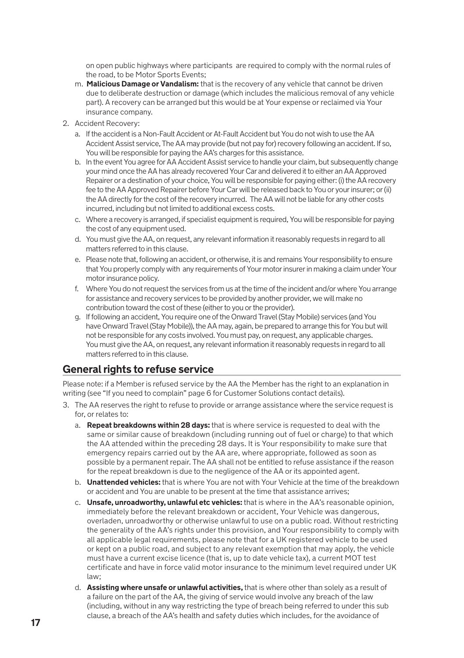on open public highways where participants are required to comply with the normal rules of the road, to be Motor Sports Events;

- m. **Malicious Damage or Vandalism:** that is the recovery of any vehicle that cannot be driven due to deliberate destruction or damage (which includes the malicious removal of any vehicle part). A recovery can be arranged but this would be at Your expense or reclaimed via Your insurance company.
- 2. Accident Recovery:
	- a. If the accident is a Non-Fault Accident or At-Fault Accident but You do not wish to use the AA Accident Assist service, The AA may provide (but not pay for) recovery following an accident. If so, You will be responsible for paying the AA's charges for this assistance.
	- b. In the event You agree for AA Accident Assist service to handle your claim, but subsequently change your mind once the AA has already recovered Your Car and delivered it to either an AA Approved Repairer or a destination of your choice, You will be responsible for paying either: (i) the AA recovery fee to the AA Approved Repairer before Your Car will be released back to You or your insurer; or (ii) the AA directly for the cost of the recovery incurred. The AA will not be liable for any other costs incurred, including but not limited to additional excess costs.
	- c. Where a recovery is arranged, if specialist equipment is required, You will be responsible for paying the cost of any equipment used.
	- d. You must give the AA, on request, any relevant information it reasonably requests in regard to all matters referred to in this clause.
	- e. Please note that, following an accident, or otherwise, it is and remains Your responsibility to ensure that You properly comply with any requirements of Your motor insurer in making a claim under Your motor insurance policy.
	- f. Where You do not request the services from us at the time of the incident and/or where You arrange for assistance and recovery services to be provided by another provider, we will make no contribution toward the cost of these (either to you or the provider).
	- g. If following an accident, You require one of the Onward Travel (Stay Mobile) services (and You have Onward Travel (Stay Mobile)), the AA may, again, be prepared to arrange this for You but will not be responsible for any costs involved. You must pay, on request, any applicable charges. You must give the AA, on request, any relevant information it reasonably requests in regard to all matters referred to in this clause.

### **General rights to refuse service**

Please note: if a Member is refused service by the AA the Member has the right to an explanation in writing (see "If you need to complain" page 6 for Customer Solutions contact details).

- 3. The AA reserves the right to refuse to provide or arrange assistance where the service request is for, or relates to:
	- a. **Repeat breakdowns within 28 days:** that is where service is requested to deal with the same or similar cause of breakdown (including running out of fuel or charge) to that which the AA attended within the preceding 28 days. It is Your responsibility to make sure that emergency repairs carried out by the AA are, where appropriate, followed as soon as possible by a permanent repair. The AA shall not be entitled to refuse assistance if the reason for the repeat breakdown is due to the negligence of the AA or its appointed agent.
	- b. **Unattended vehicles:** that is where You are not with Your Vehicle at the time of the breakdown or accident and You are unable to be present at the time that assistance arrives;
	- c. **Unsafe, unroadworthy, unlawful etc vehicles:** that is where in the AA's reasonable opinion, immediately before the relevant breakdown or accident, Your Vehicle was dangerous, overladen, unroadworthy or otherwise unlawful to use on a public road. Without restricting the generality of the AA's rights under this provision, and Your responsibility to comply with all applicable legal requirements, please note that for a UK registered vehicle to be used or kept on a public road, and subject to any relevant exemption that may apply, the vehicle must have a current excise licence (that is, up to date vehicle tax), a current MOT test certificate and have in force valid motor insurance to the minimum level required under UK law;
	- d. **Assisting where unsafe or unlawful activities,** that is where other than solely as a result of a failure on the part of the AA, the giving of service would involve any breach of the law (including, without in any way restricting the type of breach being referred to under this sub clause, a breach of the AA's health and safety duties which includes, for the avoidance of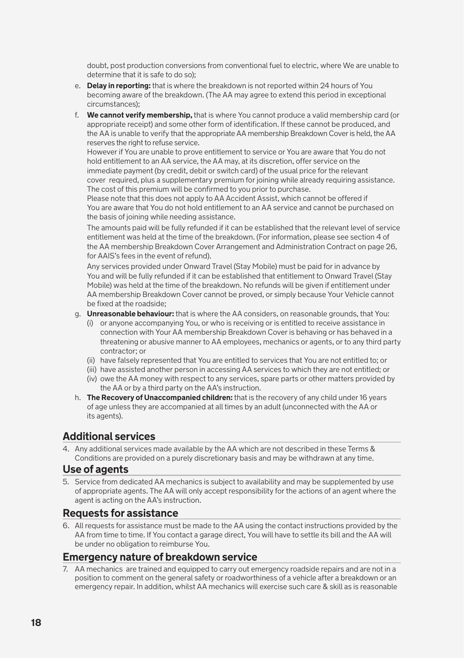doubt, post production conversions from conventional fuel to electric, where We are unable to determine that it is safe to do so);

- e. **Delay in reporting:** that is where the breakdown is not reported within 24 hours of You becoming aware of the breakdown. (The AA may agree to extend this period in exceptional circumstances);
- f. **We cannot verify membership,** that is where You cannot produce a valid membership card (or appropriate receipt) and some other form of identification. If these cannot be produced, and the AA is unable to verify that the appropriate AA membership Breakdown Cover is held, the AA reserves the right to refuse service.

 However if You are unable to prove entitlement to service or You are aware that You do not hold entitlement to an AA service, the AA may, at its discretion, offer service on the immediate payment (by credit, debit or switch card) of the usual price for the relevant cover required, plus a supplementary premium for joining while already requiring assistance. The cost of this premium will be confirmed to you prior to purchase.

 Please note that this does not apply to AA Accident Assist, which cannot be offered if You are aware that You do not hold entitlement to an AA service and cannot be purchased on the basis of joining while needing assistance.

 The amounts paid will be fully refunded if it can be established that the relevant level of service entitlement was held at the time of the breakdown. (For information, please see section 4 of the AA membership Breakdown Cover Arrangement and Administration Contract on page 26, for AAIS's fees in the event of refund).

 Any services provided under Onward Travel (Stay Mobile) must be paid for in advance by You and will be fully refunded if it can be established that entitlement to Onward Travel (Stay Mobile) was held at the time of the breakdown. No refunds will be given if entitlement under AA membership Breakdown Cover cannot be proved, or simply because Your Vehicle cannot be fixed at the roadside;

- g. **Unreasonable behaviour:** that is where the AA considers, on reasonable grounds, that You:
	- (i) or anyone accompanying You, or who is receiving or is entitled to receive assistance in connection with Your AA membership Breakdown Cover is behaving or has behaved in a threatening or abusive manner to AA employees, mechanics or agents, or to any third party contractor; or
	- (ii) have falsely represented that You are entitled to services that You are not entitled to; or
	- (iii) have assisted another person in accessing AA services to which they are not entitled; or
	- (iv) owe the AA money with respect to any services, spare parts or other matters provided by the AA or by a third party on the AA's instruction.
- h. **The Recovery of Unaccompanied children:** that is the recovery of any child under 16 years of age unless they are accompanied at all times by an adult (unconnected with the AA or its agents).

### **Additional services**

4. Any additional services made available by the AA which are not described in these Terms & Conditions are provided on a purely discretionary basis and may be withdrawn at any time.

### **Use of agents**

5. Service from dedicated AA mechanics is subject to availability and may be supplemented by use of appropriate agents. The AA will only accept responsibility for the actions of an agent where the agent is acting on the AA's instruction.

### **Requests for assistance**

6. All requests for assistance must be made to the AA using the contact instructions provided by the AA from time to time. If You contact a garage direct, You will have to settle its bill and the AA will be under no obligation to reimburse You.

### **Emergency nature of breakdown service**

7. AA mechanics are trained and equipped to carry out emergency roadside repairs and are not in a position to comment on the general safety or roadworthiness of a vehicle after a breakdown or an emergency repair. In addition, whilst AA mechanics will exercise such care & skill as is reasonable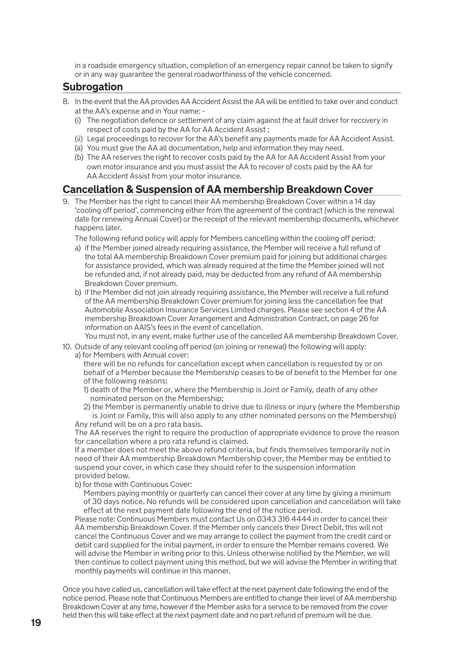in a roadside emergency situation, completion of an emergency repair cannot be taken to signify or in any way guarantee the general roadworthiness of the vehicle concerned.

### **Subrogation**

- 8. In the event that the AA provides AA Accident Assist the AA will be entitled to take over and conduct at the AA's expense and in Your name: -
	- (i) The negotiation defence or settlement of any claim against the at fault driver for recovery in respect of costs paid by the AA for AA Accident Assist ;
	- (ii) Legal proceedings to recover for the AA's benefit any payments made for AA Accident Assist.
	- (a) You must give the AA all documentation, help and information they may need.
	- (b) The AA reserves the right to recover costs paid by the AA for AA Accident Assist from your own motor insurance and you must assist the AA to recover of costs paid by the AA for AA Accident Assist from your motor insurance.

### **Cancellation & Suspension of AA membership Breakdown Cover**

9. The Member has the right to cancel their AA membership Breakdown Cover within a 14 day 'cooling off period', commencing either from the agreement of the contract (which is the renewal date for renewing Annual Cover) or the receipt of the relevant membership documents, whichever happens later.

The following refund policy will apply for Members cancelling within the cooling off period:

- a) if the Member joined already requiring assistance, the Member will receive a full refund of the total AA membership Breakdown Cover premium paid for joining but additional charges for assistance provided, which was already required at the time the Member joined will not be refunded and, if not already paid, may be deducted from any refund of AA membership Breakdown Cover premium.
- b) if the Member did not join already requiring assistance, the Member will receive a full refund of the AA membership Breakdown Cover premium for joining less the cancellation fee that Automobile Association Insurance Services Limited charges. Please see section 4 of the AA membership Breakdown Cover Arrangement and Administration Contract, on page 26 for information on AAIS's fees in the event of cancellation.

You must not, in any event, make further use of the cancelled AA membership Breakdown Cover.

- 10. Outside of any relevant cooling off period (on joining or renewal) the following will apply: a) for Members with Annual cover:
	- there will be no refunds for cancellation except when cancellation is requested by or on behalf of a Member because the Membership ceases to be of benefit to the Member for one of the following reasons:
	- 1) death of the Member or, where the Membership is Joint or Family, death of any other nominated person on the Membership;
	- 2) the Member is permanently unable to drive due to illness or injury (where the Membership is Joint or Family, this will also apply to any other nominated persons on the Membership) Any refund will be on a pro rata basis.

The AA reserves the right to require the production of appropriate evidence to prove the reason for cancellation where a pro rata refund is claimed.

 If a member does not meet the above refund criteria, but finds themselves temporarily not in need of their AA membership Breakdown Membership cover, the Member may be entitled to suspend your cover, in which case they should refer to the suspension information provided below.

- b) for those with Continuous Cover:
	- Members paying monthly or quarterly can cancel their cover at any time by giving a minimum of 30 days notice. No refunds will be considered upon cancellation and cancellation will take effect at the next payment date following the end of the notice period.

 Please note: Continuous Members must contact Us on 0343 316 4444 in order to cancel their AA membership Breakdown Cover. If the Member only cancels their Direct Debit, this will not cancel the Continuous Cover and we may arrange to collect the payment from the credit card or debit card supplied for the initial payment, in order to ensure the Member remains covered. We will advise the Member in writing prior to this. Unless otherwise notified by the Member, we will then continue to collect payment using this method, but we will advise the Member in writing that monthly payments will continue in this manner.

Once you have called us, cancellation will take effect at the next payment date following the end of the notice period. Please note that Continuous Members are entitled to change their level of AA membership Breakdown Cover at any time, however if the Member asks for a service to be removed from the cover held then this will take effect at the next payment date and no part refund of premium will be due.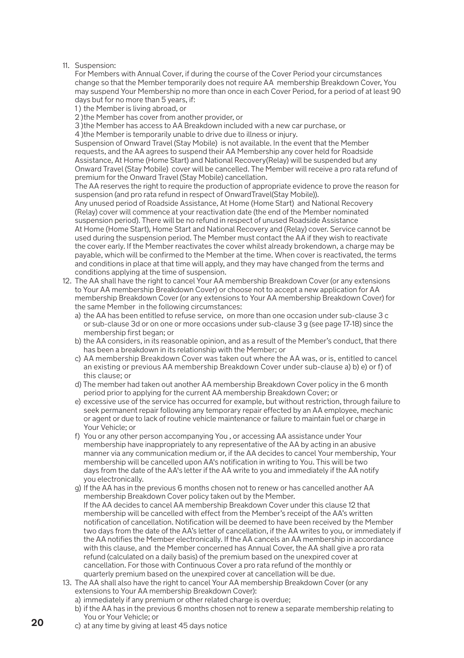11. Suspension:

 For Members with Annual Cover, if during the course of the Cover Period your circumstances change so that the Member temporarily does not require AA membership Breakdown Cover, You may suspend Your Membership no more than once in each Cover Period, for a period of at least 90 days but for no more than 5 years, if:

1 ) the Member is living abroad, or

2 )the Member has cover from another provider, or

3 )the Member has access to AA Breakdown included with a new car purchase, or

4 )the Member is temporarily unable to drive due to illness or injury.

 Suspension of Onward Travel (Stay Mobile) is not available. In the event that the Member requests, and the AA agrees to suspend their AA Membership any cover held for Roadside Assistance, At Home (Home Start) and National Recovery(Relay) will be suspended but any Onward Travel (Stay Mobile) cover will be cancelled. The Member will receive a pro rata refund of premium for the Onward Travel (Stay Mobile) cancellation.

The AA reserves the right to require the production of appropriate evidence to prove the reason for suspension (and pro rata refund in respect of OnwardTravel(Stay Mobile)).

 Any unused period of Roadside Assistance, At Home (Home Start) and National Recovery (Relay) cover will commence at your reactivation date (the end of the Member nominated suspension period). There will be no refund in respect of unused Roadside Assistance At Home (Home Start), Home Start and National Recovery and (Relay) cover. Service cannot be used during the suspension period. The Member must contact the AA if they wish to reactivate the cover early. If the Member reactivates the cover whilst already brokendown, a charge may be payable, which will be confirmed to the Member at the time. When cover is reactivated, the terms and conditions in place at that time will apply, and they may have changed from the terms and conditions applying at the time of suspension.

- 12. The AA shall have the right to cancel Your AA membership Breakdown Cover (or any extensions to Your AA membership Breakdown Cover) or choose not to accept a new application for AA membership Breakdown Cover (or any extensions to Your AA membership Breakdown Cover) for the same Member in the following circumstances:
	- a) the AA has been entitled to refuse service, on more than one occasion under sub-clause 3 c or sub-clause 3d or on one or more occasions under sub-clause 3 g (see page 17-18) since the membership first began; or
	- b) the AA considers, in its reasonable opinion, and as a result of the Member's conduct, that there has been a breakdown in its relationship with the Member; or
	- c) AA membership Breakdown Cover was taken out where the AA was, or is, entitled to cancel an existing or previous AA membership Breakdown Cover under sub-clause a) b) e) or f) of this clause; or
	- d) The member had taken out another AA membership Breakdown Cover policy in the 6 month period prior to applying for the current AA membership Breakdown Cover; or
	- e) excessive use of the service has occurred for example, but without restriction, through failure to seek permanent repair following any temporary repair effected by an AA employee, mechanic or agent or due to lack of routine vehicle maintenance or failure to maintain fuel or charge in Your Vehicle; or
	- f) You or any other person accompanying You , or accessing AA assistance under Your membership have inappropriately to any representative of the AA by acting in an abusive manner via any communication medium or, if the AA decides to cancel Your membership, Your membership will be cancelled upon AA's notification in writing to You. This will be two days from the date of the AA's letter if the AA write to you and immediately if the AA notify you electronically.
	- g) If the AA has in the previous 6 months chosen not to renew or has cancelled another AA membership Breakdown Cover policy taken out by the Member. If the AA decides to cancel AA membership Breakdown Cover under this clause 12 that membership will be cancelled with effect from the Member's receipt of the AA's written notification of cancellation. Notification will be deemed to have been received by the Member two days from the date of the AA's letter of cancellation, if the AA writes to you, or immediately if the AA notifies the Member electronically. If the AA cancels an AA membership in accordance with this clause, and the Member concerned has Annual Cover, the AA shall give a pro rata refund (calculated on a daily basis) of the premium based on the unexpired cover at cancellation. For those with Continuous Cover a pro rata refund of the monthly or quarterly premium based on the unexpired cover at cancellation will be due.
- 13. The AA shall also have the right to cancel Your AA membership Breakdown Cover (or any extensions to Your AA membership Breakdown Cover):
	- a) immediately if any premium or other related charge is overdue;
	- b) if the AA has in the previous 6 months chosen not to renew a separate membership relating to You or Your Vehicle; or
	- c) at any time by giving at least 45 days notice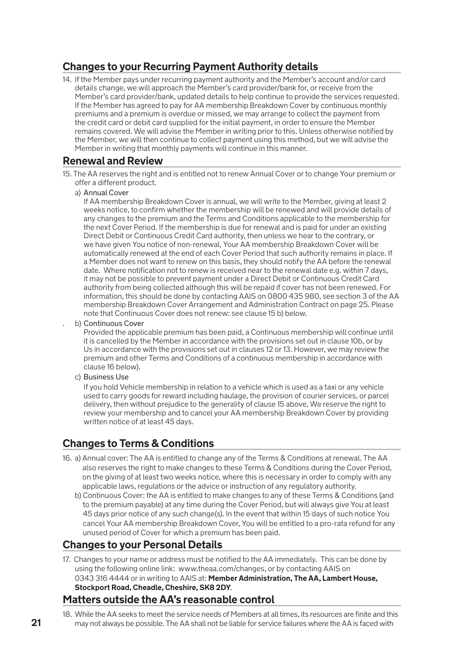### **Changes to your Recurring Payment Authority details**

14. If the Member pays under recurring payment authority and the Member's account and/or card details change, we will approach the Member's card provider/bank for, or receive from the Member's card provider/bank, updated details to help continue to provide the services requested. If the Member has agreed to pay for AA membership Breakdown Cover by continuous monthly premiums and a premium is overdue or missed, we may arrange to collect the payment from the credit card or debit card supplied for the initial payment, in order to ensure the Member remains covered. We will advise the Member in writing prior to this. Unless otherwise notified by the Member, we will then continue to collect payment using this method, but we will advise the Member in writing that monthly payments will continue in this manner.

### **Renewal and Review**

- 15. The AA reserves the right and is entitled not to renew Annual Cover or to change Your premium or offer a different product.
	- a) Annual Cover

 If AA membership Breakdown Cover is annual, we will write to the Member, giving at least 2 weeks notice, to confirm whether the membership will be renewed and will provide details of any changes to the premium and the Terms and Conditions applicable to the membership for the next Cover Period. If the membership is due for renewal and is paid for under an existing Direct Debit or Continuous Credit Card authority, then unless we hear to the contrary, or we have given You notice of non-renewal, Your AA membership Breakdown Cover will be automatically renewed at the end of each Cover Period that such authority remains in place. If a Member does not want to renew on this basis, they should notify the AA before the renewal date. Where notification not to renew is received near to the renewal date e.g. within 7 days, it may not be possible to prevent payment under a Direct Debit or Continuous Credit Card authority from being collected although this will be repaid if cover has not been renewed. For information, this should be done by contacting AAIS on 0800 435 980, see section 3 of the AA membership Breakdown Cover Arrangement and Administration Contract on page 25. Please note that Continuous Cover does not renew: see clause 15 b) below.

b) Continuous Cover

 Provided the applicable premium has been paid, a Continuous membership will continue until it is cancelled by the Member in accordance with the provisions set out in clause 10b, or by Us in accordance with the provisions set out in clauses 12 or 13. However, we may review the premium and other Terms and Conditions of a continuous membership in accordance with clause 16 below).

c) Business Use

 If you hold Vehicle membership in relation to a vehicle which is used as a taxi or any vehicle used to carry goods for reward including haulage, the provision of courier services, or parcel delivery, then without prejudice to the generality of clause 15 above, We reserve the right to review your membership and to cancel your AA membership Breakdown Cover by providing written notice of at least 45 days.

### **Changes to Terms & Conditions**

- 16. a) Annual cover: The AA is entitled to change any of the Terms & Conditions at renewal. The AA also reserves the right to make changes to these Terms & Conditions during the Cover Period, on the giving of at least two weeks notice, where this is necessary in order to comply with any applicable laws, regulations or the advice or instruction of any regulatory authority.
	- b) Continuous Cover: the AA is entitled to make changes to any of these Terms & Conditions (and to the premium payable) at any time during the Cover Period, but will always give You at least 45 days prior notice of any such change(s). In the event that within 15 days of such notice You cancel Your AA membership Breakdown Cover, You will be entitled to a pro-rata refund for any unused period of Cover for which a premium has been paid.

### **Changes to your Personal Details**

17. Changes to your name or address must be notified to the AA immediately. This can be done by using the following online link: www.theaa.com/changes, or by contacting AAIS on 0343 316 4444 or in writing to AAIS at: **Member Administration, The AA, Lambert House, Stockport Road, Cheadle, Cheshire, SK8 2DY**.

### **Matters outside the AA's reasonable control**

18. While the AA seeks to meet the service needs of Members at all times, its resources are finite and this may not always be possible. The AA shall not be liable for service failures where the AA is faced with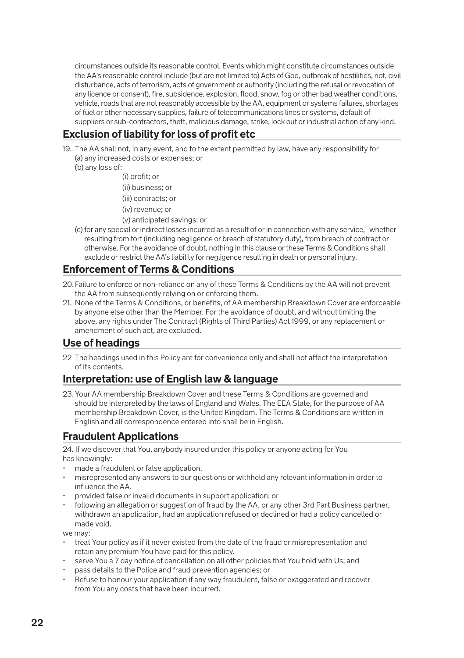circumstances outside its reasonable control. Events which might constitute circumstances outside the AA's reasonable control include (but are not limited to) Acts of God, outbreak of hostilities, riot, civil disturbance, acts of terrorism, acts of government or authority (including the refusal or revocation of any licence or consent), fire, subsidence, explosion, flood, snow, fog or other bad weather conditions, vehicle, roads that are not reasonably accessible by the AA, equipment or systems failures, shortages of fuel or other necessary supplies, failure of telecommunications lines or systems, default of suppliers or sub-contractors, theft, malicious damage, strike, lock out or industrial action of any kind.

### **Exclusion of liability for loss of profit etc**

- 19. The AA shall not, in any event, and to the extent permitted by law, have any responsibility for (a) any increased costs or expenses; or
	- (b) any loss of:
		- (i) profit; or
		- (ii) business; or
		- (iii) contracts; or
		- (iv) revenue; or
		- (v) anticipated savings; or
	- (c) for any special or indirect losses incurred as a result of or in connection with any service, whether resulting from tort (including negligence or breach of statutory duty), from breach of contract or otherwise. For the avoidance of doubt, nothing in this clause or these Terms & Conditions shall exclude or restrict the AA's liability for negligence resulting in death or personal injury.

### **Enforcement of Terms & Conditions**

- 20. Failure to enforce or non-reliance on any of these Terms & Conditions by the AA will not prevent the AA from subsequently relying on or enforcing them.
- 21. None of the Terms & Conditions, or benefits, of AA membership Breakdown Cover are enforceable by anyone else other than the Member. For the avoidance of doubt, and without limiting the above, any rights under The Contract (Rights of Third Parties) Act 1999, or any replacement or amendment of such act, are excluded.

### **Use of headings**

22 The headings used in this Policy are for convenience only and shall not affect the interpretation of its contents.

### **Interpretation: use of English law & language**

23. Your AA membership Breakdown Cover and these Terms & Conditions are governed and should be interpreted by the laws of England and Wales. The EEA State, for the purpose of AA membership Breakdown Cover, is the United Kingdom. The Terms & Conditions are written in English and all correspondence entered into shall be in English.

### **Fraudulent Applications**

24. If we discover that You, anybody insured under this policy or anyone acting for You has knowingly:

- made a fraudulent or false application.
- misrepresented any answers to our questions or withheld any relevant information in order to influence the AA.
- provided false or invalid documents in support application; or
- following an allegation or suggestion of fraud by the AA, or any other 3rd Part Business partner, withdrawn an application, had an application refused or declined or had a policy cancelled or made void.

we may:

- treat Your policy as if it never existed from the date of the fraud or misrepresentation and retain any premium You have paid for this policy.
- serve You a 7 day notice of cancellation on all other policies that You hold with Us; and
- pass details to the Police and fraud prevention agencies; or
- Refuse to honour your application if any way fraudulent, false or exaggerated and recover from You any costs that have been incurred.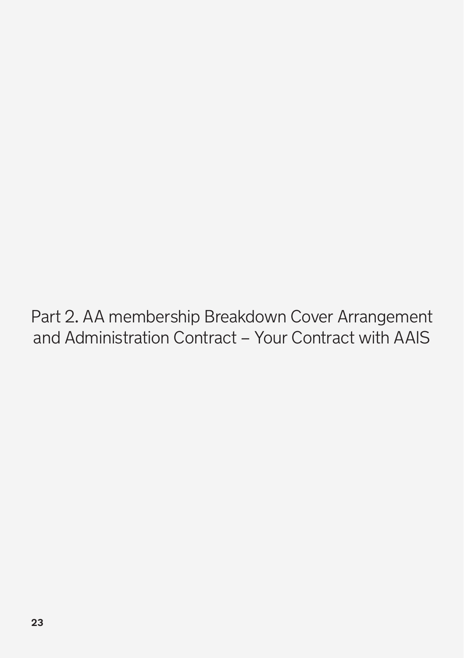Part 2. AA membership Breakdown Cover Arrangement and Administration Contract – Your Contract with AAIS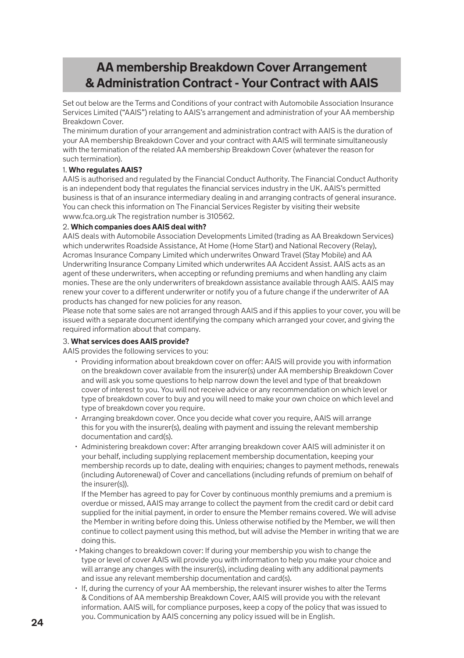### **AA membership Breakdown Cover Arrangement & Administration Contract - Your Contract with AAIS**

Set out below are the Terms and Conditions of your contract with Automobile Association Insurance Services Limited ("AAIS") relating to AAIS's arrangement and administration of your AA membership Breakdown Cover.

The minimum duration of your arrangement and administration contract with AAIS is the duration of your AA membership Breakdown Cover and your contract with AAIS will terminate simultaneously with the termination of the related AA membership Breakdown Cover (whatever the reason for such termination).

### 1. **Who regulates AAIS?**

AAIS is authorised and regulated by the Financial Conduct Authority. The Financial Conduct Authority is an independent body that regulates the financial services industry in the UK. AAIS's permitted business is that of an insurance intermediary dealing in and arranging contracts of general insurance. You can check this information on The Financial Services Register by visiting their website www.fca.org.uk The registration number is 310562.

### 2. **Which companies does AAIS deal with?**

AAIS deals with Automobile Association Developments Limited (trading as AA Breakdown Services) which underwrites Roadside Assistance, At Home (Home Start) and National Recovery (Relay), Acromas Insurance Company Limited which underwrites Onward Travel (Stay Mobile) and AA Underwriting Insurance Company Limited which underwrites AA Accident Assist. AAIS acts as an agent of these underwriters, when accepting or refunding premiums and when handling any claim monies. These are the only underwriters of breakdown assistance available through AAIS. AAIS may renew your cover to a different underwriter or notify you of a future change if the underwriter of AA products has changed for new policies for any reason.

Please note that some sales are not arranged through AAIS and if this applies to your cover, you will be issued with a separate document identifying the company which arranged your cover, and giving the required information about that company.

### 3. **What services does AAIS provide?**

AAIS provides the following services to you:

- Providing information about breakdown cover on offer: AAIS will provide you with information on the breakdown cover available from the insurer(s) under AA membership Breakdown Cover and will ask you some questions to help narrow down the level and type of that breakdown cover of interest to you. You will not receive advice or any recommendation on which level or type of breakdown cover to buy and you will need to make your own choice on which level and type of breakdown cover you require.
- Arranging breakdown cover. Once you decide what cover you require, AAIS will arrange this for you with the insurer(s), dealing with payment and issuing the relevant membership documentation and card(s).
- Administering breakdown cover: After arranging breakdown cover AAIS will administer it on your behalf, including supplying replacement membership documentation, keeping your membership records up to date, dealing with enquiries; changes to payment methods, renewals (including Autorenewal) of Cover and cancellations (including refunds of premium on behalf of the insurer(s)).

 If the Member has agreed to pay for Cover by continuous monthly premiums and a premium is overdue or missed, AAIS may arrange to collect the payment from the credit card or debit card supplied for the initial payment, in order to ensure the Member remains covered. We will advise the Member in writing before doing this. Unless otherwise notified by the Member, we will then continue to collect payment using this method, but will advise the Member in writing that we are doing this.

- Making changes to breakdown cover: If during your membership you wish to change the type or level of cover AAIS will provide you with information to help you make your choice and will arrange any changes with the insurer(s), including dealing with any additional payments and issue any relevant membership documentation and card(s).
- If, during the currency of your AA membership, the relevant insurer wishes to alter the Terms & Conditions of AA membership Breakdown Cover, AAIS will provide you with the relevant information. AAIS will, for compliance purposes, keep a copy of the policy that was issued to you. Communication by AAIS concerning any policy issued will be in English.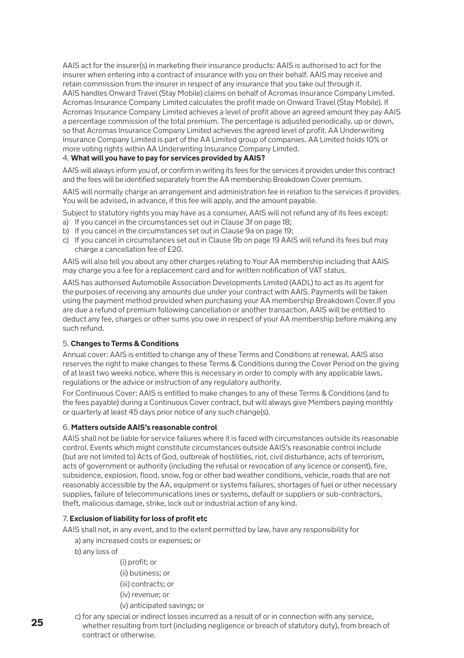AAIS act for the insurer(s) in marketing their insurance products: AAIS is authorised to act for the insurer when entering into a contract of insurance with you on their behalf. AAIS may receive and retain commission from the insurer in respect of any insurance that you take out through it. AAIS handles Onward Travel (Stay Mobile) claims on behalf of Acromas Insurance Company Limited. Acromas Insurance Company Limited calculates the profit made on Onward Travel (Stay Mobile). If Acromas Insurance Company Limited achieves a level of profit above an agreed amount they pay AAIS a percentage commission of the total premium. The percentage is adjusted periodically, up or down, so that Acromas Insurance Company Limited achieves the agreed level of profit. AA Underwriting Insurance Company Limited is part of the AA Limited group of companies. AA Limited holds 10% or more voting rights within AA Underwriting Insurance Company Limited.

### 4. **What will you have to pay for services provided by AAIS?**

AAIS will always inform you of, or confirm in writing its fees for the services it provides under this contract and the fees will be identified separately from the AA membership Breakdown Cover premium.

AAIS will normally charge an arrangement and administration fee in relation to the services it provides. You will be advised, in advance, if this fee will apply, and the amount payable.

Subject to statutory rights you may have as a consumer, AAIS will not refund any of its fees except:

- a) If you cancel in the circumstances set out in Clause 3f on page 18;
- b) If you cancel in the circumstances set out in Clause 9a on page 19;
- c) If you cancel in circumstances set out in Clause 9b on page 19 AAIS will refund its fees but may charge a cancellation fee of £20.

AAIS will also tell you about any other charges relating to Your AA membership including that AAIS may charge you a fee for a replacement card and for written notification of VAT status.

AAIS has authorised Automobile Association Developments Limited (AADL) to act as its agent for the purposes of receiving any amounts due under your contract with AAIS. Payments will be taken using the payment method provided when purchasing your AA membership Breakdown Cover.If you are due a refund of premium following cancellation or another transaction, AAIS will be entitled to deduct any fee, charges or other sums you owe in respect of your AA membership before making any such refund.

### 5. **Changes to Terms & Conditions**

Annual cover: AAIS is entitled to change any of these Terms and Conditions at renewal. AAIS also reserves the right to make changes to these Terms & Conditions during the Cover Period on the giving of at least two weeks notice, where this is necessary in order to comply with any applicable laws, regulations or the advice or instruction of any regulatory authority.

For Continuous Cover: AAIS is entitled to make changes to any of these Terms & Conditions (and to the fees payable) during a Continuous Cover contract, but will always give Members paying monthly or quarterly at least 45 days prior notice of any such change(s).

### 6. **Matters outside AAIS's reasonable control**

AAIS shall not be liable for service failures where it is faced with circumstances outside its reasonable control. Events which might constitute circumstances outside AAIS's reasonable control include (but are not limited to) Acts of God, outbreak of hostilities, riot, civil disturbance, acts of terrorism, acts of government or authority (including the refusal or revocation of any licence or consent), fire, subsidence, explosion, flood, snow, fog or other bad weather conditions, vehicle, roads that are not reasonably accessible by the AA, equipment or systems failures, shortages of fuel or other necessary supplies, failure of telecommunications lines or systems, default or suppliers or sub-contractors, theft, malicious damage, strike, lock out or industrial action of any kind.

### 7. **Exclusion of liability for loss of profit etc**

AAIS shall not, in any event, and to the extent permitted by law, have any responsibility for

- a) any increased costs or expenses; or
- b) any loss of
	- (i) profit; or (ii) business; or (iii) contracts; or (iv) revenue; or
	- (v) anticipated savings; or
- c) for any special or indirect losses incurred as a result of or in connection with any service, whether resulting from tort (including negligence or breach of statutory duty), from breach of contract or otherwise.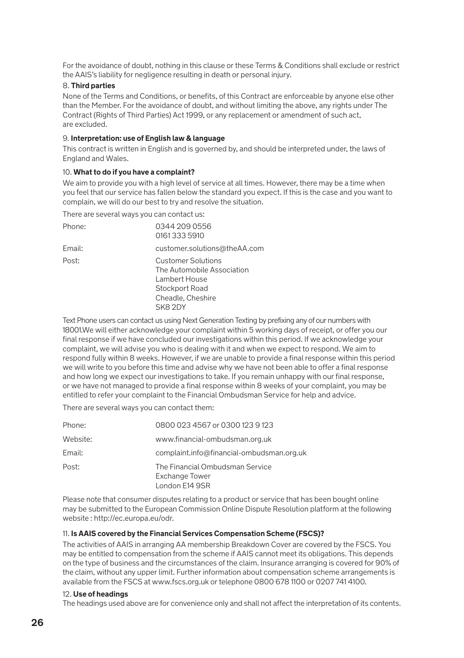For the avoidance of doubt, nothing in this clause or these Terms & Conditions shall exclude or restrict the AAIS's liability for negligence resulting in death or personal injury.

### 8. **Third parties**

None of the Terms and Conditions, or benefits, of this Contract are enforceable by anyone else other than the Member. For the avoidance of doubt, and without limiting the above, any rights under The Contract (Rights of Third Parties) Act 1999, or any replacement or amendment of such act, are excluded.

### 9. **Interpretation: use of English law & language**

This contract is written in English and is governed by, and should be interpreted under, the laws of England and Wales.

#### 10. **What to do if you have a complaint?**

We aim to provide you with a high level of service at all times. However, there may be a time when you feel that our service has fallen below the standard you expect. If this is the case and you want to complain, we will do our best to try and resolve the situation.

There are several ways you can contact us:

| Phone: | 0344 209 0556<br>01613335910                                                                                               |
|--------|----------------------------------------------------------------------------------------------------------------------------|
| Email: | customer.solutions@theAA.com                                                                                               |
| Post:  | <b>Customer Solutions</b><br>The Automobile Association<br>Lambert House<br>Stockport Road<br>Cheadle, Cheshire<br>SK8 2DY |

Text Phone users can contact us using Next Generation Texting by prefixing any of our numbers with 18001.We will either acknowledge your complaint within 5 working days of receipt, or offer you our final response if we have concluded our investigations within this period. If we acknowledge your complaint, we will advise you who is dealing with it and when we expect to respond. We aim to respond fully within 8 weeks. However, if we are unable to provide a final response within this period we will write to you before this time and advise why we have not been able to offer a final response and how long we expect our investigations to take. If you remain unhappy with our final response, or we have not managed to provide a final response within 8 weeks of your complaint, you may be entitled to refer your complaint to the Financial Ombudsman Service for help and advice.

There are several ways you can contact them:

| Phone:   | 0800 023 4567 or 0300 123 9 123                                     |
|----------|---------------------------------------------------------------------|
| Website: | www.financial-ombudsman.org.uk                                      |
| Email:   | complaint.info@financial-ombudsman.org.uk                           |
| Post:    | The Financial Ombudsman Service<br>Exchange Tower<br>London E14 9SR |

Please note that consumer disputes relating to a product or service that has been bought online may be submitted to the European Commission Online Dispute Resolution platform at the following website : http://ec.europa.eu/odr.

### 11. **Is AAIS covered by the Financial Services Compensation Scheme (FSCS)?**

The activities of AAIS in arranging AA membership Breakdown Cover are covered by the FSCS. You may be entitled to compensation from the scheme if AAIS cannot meet its obligations. This depends on the type of business and the circumstances of the claim. Insurance arranging is covered for 90% of the claim, without any upper limit. Further information about compensation scheme arrangements is available from the FSCS at www.fscs.org.uk or telephone 0800 678 1100 or 0207 741 4100.

### 12. **Use of headings**

The headings used above are for convenience only and shall not affect the interpretation of its contents.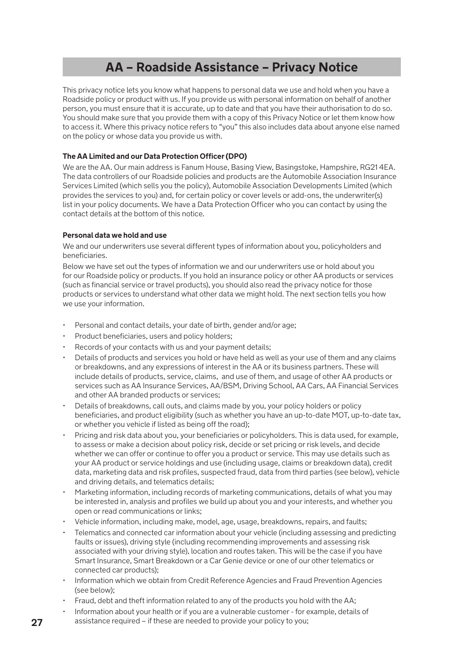## **AA – Roadside Assistance – Privacy Notice**

This privacy notice lets you know what happens to personal data we use and hold when you have a Roadside policy or product with us. If you provide us with personal information on behalf of another person, you must ensure that it is accurate, up to date and that you have their authorisation to do so. You should make sure that you provide them with a copy of this Privacy Notice or let them know how to access it. Where this privacy notice refers to "you" this also includes data about anyone else named on the policy or whose data you provide us with.

### **The AA Limited and our Data Protection Officer (DPO)**

We are the AA. Our main address is Fanum House, Basing View, Basingstoke, Hampshire, RG21 4EA. The data controllers of our Roadside policies and products are the Automobile Association Insurance Services Limited (which sells you the policy), Automobile Association Developments Limited (which provides the services to you) and, for certain policy or cover levels or add-ons, the underwriter(s) list in your policy documents. We have a Data Protection Officer who you can contact by using the contact details at the bottom of this notice.

### **Personal data we hold and use**

We and our underwriters use several different types of information about you, policyholders and beneficiaries.

Below we have set out the types of information we and our underwriters use or hold about you for our Roadside policy or products. If you hold an insurance policy or other AA products or services (such as financial service or travel products), you should also read the privacy notice for those products or services to understand what other data we might hold. The next section tells you how we use your information.

- Personal and contact details, your date of birth, gender and/or age;
- Product beneficiaries, users and policy holders;
- Records of your contacts with us and your payment details;
- Details of products and services you hold or have held as well as your use of them and any claims or breakdowns, and any expressions of interest in the AA or its business partners. These will include details of products, service, claims, and use of them, and usage of other AA products or services such as AA Insurance Services, AA/BSM, Driving School, AA Cars, AA Financial Services and other AA branded products or services;
- Details of breakdowns, call outs, and claims made by you, your policy holders or policy beneficiaries, and product eligibility (such as whether you have an up-to-date MOT, up-to-date tax, or whether you vehicle if listed as being off the road);
- Pricing and risk data about you, your beneficiaries or policyholders. This is data used, for example, to assess or make a decision about policy risk, decide or set pricing or risk levels, and decide whether we can offer or continue to offer you a product or service. This may use details such as your AA product or service holdings and use (including usage, claims or breakdown data), credit data, marketing data and risk profiles, suspected fraud, data from third parties (see below), vehicle and driving details, and telematics details;
- Marketing information, including records of marketing communications, details of what you may be interested in, analysis and profiles we build up about you and your interests, and whether you open or read communications or links;
- Vehicle information, including make, model, age, usage, breakdowns, repairs, and faults;
- Telematics and connected car information about your vehicle (including assessing and predicting faults or issues), driving style (including recommending improvements and assessing risk associated with your driving style), location and routes taken. This will be the case if you have Smart Insurance, Smart Breakdown or a Car Genie device or one of our other telematics or connected car products);
- Information which we obtain from Credit Reference Agencies and Fraud Prevention Agencies (see below);
- Fraud, debt and theft information related to any of the products you hold with the AA;
- Information about your health or if you are a vulnerable customer for example, details of
- assistance required if these are needed to provide your policy to you;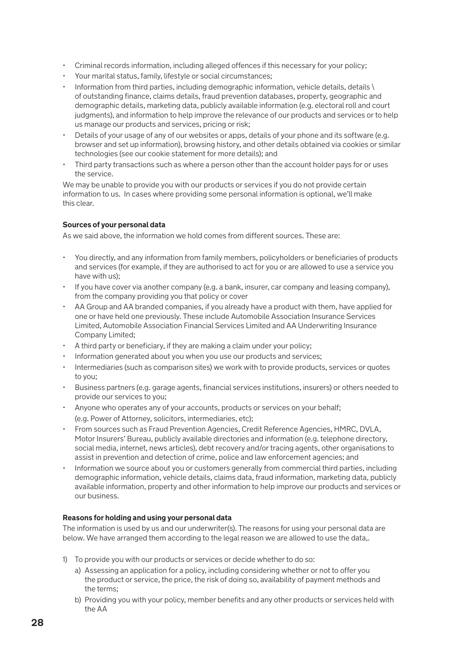- Criminal records information, including alleged offences if this necessary for your policy;
- Your marital status, family, lifestyle or social circumstances;
- Information from third parties, including demographic information, vehicle details, details \ of outstanding finance, claims details, fraud prevention databases, property, geographic and demographic details, marketing data, publicly available information (e.g. electoral roll and court judgments), and information to help improve the relevance of our products and services or to help us manage our products and services, pricing or risk;
- Details of your usage of any of our websites or apps, details of your phone and its software (e.g. browser and set up information), browsing history, and other details obtained via cookies or similar technologies (see our cookie statement for more details); and
- Third party transactions such as where a person other than the account holder pays for or uses the service.

We may be unable to provide you with our products or services if you do not provide certain information to us. In cases where providing some personal information is optional, we'll make this clear.

### **Sources of your personal data**

As we said above, the information we hold comes from different sources. These are:

- You directly, and any information from family members, policyholders or beneficiaries of products and services (for example, if they are authorised to act for you or are allowed to use a service you have with us);
- If you have cover via another company (e.g. a bank, insurer, car company and leasing company), from the company providing you that policy or cover
- AA Group and AA branded companies, if you already have a product with them, have applied for one or have held one previously. These include Automobile Association Insurance Services Limited, Automobile Association Financial Services Limited and AA Underwriting Insurance Company Limited;
- A third party or beneficiary, if they are making a claim under your policy;
- Information generated about you when you use our products and services;
- Intermediaries (such as comparison sites) we work with to provide products, services or quotes to you;
- Business partners (e.g. garage agents, financial services institutions, insurers) or others needed to provide our services to you;
- Anyone who operates any of your accounts, products or services on your behalf; (e.g. Power of Attorney, solicitors, intermediaries, etc);
- From sources such as Fraud Prevention Agencies, Credit Reference Agencies, HMRC, DVLA, Motor Insurers' Bureau, publicly available directories and information (e.g. telephone directory, social media, internet, news articles), debt recovery and/or tracing agents, other organisations to assist in prevention and detection of crime, police and law enforcement agencies; and
- Information we source about you or customers generally from commercial third parties, including demographic information, vehicle details, claims data, fraud information, marketing data, publicly available information, property and other information to help improve our products and services or our business.

### **Reasons for holding and using your personal data**

The information is used by us and our underwriter(s). The reasons for using your personal data are below. We have arranged them according to the legal reason we are allowed to use the data,.

- 1) To provide you with our products or services or decide whether to do so:
	- a) Assessing an application for a policy, including considering whether or not to offer you the product or service, the price, the risk of doing so, availability of payment methods and the terms;
	- b) Providing you with your policy, member benefits and any other products or services held with the AA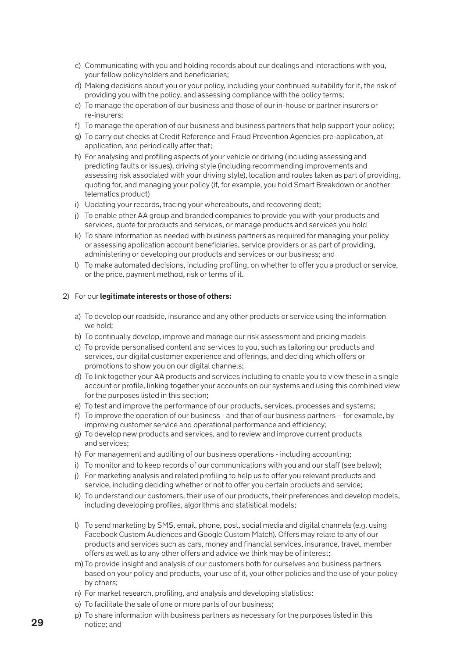- c) Communicating with you and holding records about our dealings and interactions with you, your fellow policyholders and beneficiaries;
- d) Making decisions about you or your policy, including your continued suitability for it, the risk of providing you with the policy, and assessing compliance with the policy terms;
- e) To manage the operation of our business and those of our in-house or partner insurers or re-insurers;
- f) To manage the operation of our business and business partners that help support your policy;
- g) To carry out checks at Credit Reference and Fraud Prevention Agencies pre-application, at application, and periodically after that;
- h) For analysing and profiling aspects of your vehicle or driving (including assessing and predicting faults or issues), driving style (including recommending improvements and assessing risk associated with your driving style), location and routes taken as part of providing, quoting for, and managing your policy (if, for example, you hold Smart Breakdown or another telematics product)
- i) Updating your records, tracing your whereabouts, and recovering debt;
- j) To enable other AA group and branded companies to provide you with your products and services, quote for products and services, or manage products and services you hold
- k) To share information as needed with business partners as required for managing your policy or assessing application account beneficiaries, service providers or as part of providing, administering or developing our products and services or our business; and
- l) To make automated decisions, including profiling, on whether to offer you a product or service, or the price, payment method, risk or terms of it.

#### 2) For our **legitimate interests or those of others:**

- a) To develop our roadside, insurance and any other products or service using the information we hold;
- b) To continually develop, improve and manage our risk assessment and pricing models
- c) To provide personalised content and services to you, such as tailoring our products and services, our digital customer experience and offerings, and deciding which offers or promotions to show you on our digital channels;
- d) To link together your AA products and services including to enable you to view these in a single account or profile, linking together your accounts on our systems and using this combined view for the purposes listed in this section;
- e) To test and improve the performance of our products, services, processes and systems;
- f) To improve the operation of our business and that of our business partners for example, by improving customer service and operational performance and efficiency;
- g) To develop new products and services, and to review and improve current products and services;
- h) For management and auditing of our business operations including accounting;
- i) To monitor and to keep records of our communications with you and our staff (see below);
- j) For marketing analysis and related profiling to help us to offer you relevant products and service, including deciding whether or not to offer you certain products and service;
- k) To understand our customers, their use of our products, their preferences and develop models, including developing profiles, algorithms and statistical models;
- l) To send marketing by SMS, email, phone, post, social media and digital channels (e.g. using Facebook Custom Audiences and Google Custom Match). Offers may relate to any of our products and services such as cars, money and financial services, insurance, travel, member offers as well as to any other offers and advice we think may be of interest;
- m) To provide insight and analysis of our customers both for ourselves and business partners based on your policy and products, your use of it, your other policies and the use of your policy by others;
- n) For market research, profiling, and analysis and developing statistics;
- o) To facilitate the sale of one or more parts of our business;
- p) To share information with business partners as necessary for the purposes listed in this notice; and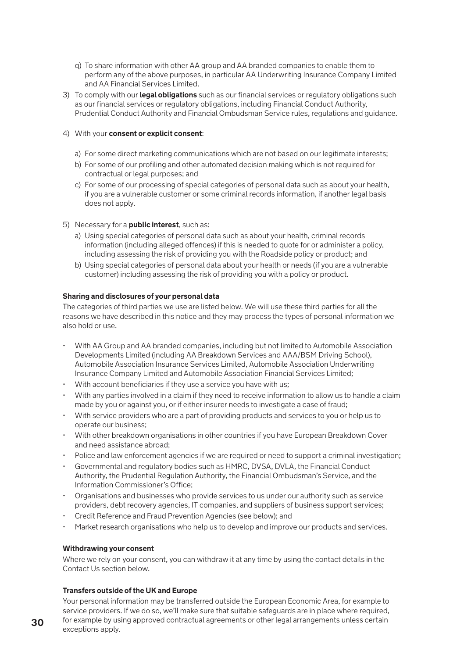- q) To share information with other AA group and AA branded companies to enable them to perform any of the above purposes, in particular AA Underwriting Insurance Company Limited and AA Financial Services Limited.
- 3) To comply with our **legal obligations** such as our financial services or regulatory obligations such as our financial services or regulatory obligations, including Financial Conduct Authority, Prudential Conduct Authority and Financial Ombudsman Service rules, regulations and guidance.

### 4) With your **consent or explicit consent**:

- a) For some direct marketing communications which are not based on our legitimate interests;
- b) For some of our profiling and other automated decision making which is not required for contractual or legal purposes; and
- c) For some of our processing of special categories of personal data such as about your health, if you are a vulnerable customer or some criminal records information, if another legal basis does not apply.
- 5) Necessary for a **public interest**, such as:
	- a) Using special categories of personal data such as about your health, criminal records information (including alleged offences) if this is needed to quote for or administer a policy, including assessing the risk of providing you with the Roadside policy or product; and
	- b) Using special categories of personal data about your health or needs (if you are a vulnerable customer) including assessing the risk of providing you with a policy or product.

#### **Sharing and disclosures of your personal data**

The categories of third parties we use are listed below. We will use these third parties for all the reasons we have described in this notice and they may process the types of personal information we also hold or use.

- With AA Group and AA branded companies, including but not limited to Automobile Association Developments Limited (including AA Breakdown Services and AAA/BSM Driving School), Automobile Association Insurance Services Limited, Automobile Association Underwriting Insurance Company Limited and Automobile Association Financial Services Limited;
- With account beneficiaries if they use a service you have with us;
- With any parties involved in a claim if they need to receive information to allow us to handle a claim made by you or against you, or if either insurer needs to investigate a case of fraud;
- With service providers who are a part of providing products and services to you or help us to operate our business;
- With other breakdown organisations in other countries if you have European Breakdown Cover and need assistance abroad;
- Police and law enforcement agencies if we are required or need to support a criminal investigation;
- Governmental and regulatory bodies such as HMRC, DVSA, DVLA, the Financial Conduct Authority, the Prudential Regulation Authority, the Financial Ombudsman's Service, and the Information Commissioner's Office;
- Organisations and businesses who provide services to us under our authority such as service providers, debt recovery agencies, IT companies, and suppliers of business support services;
- Credit Reference and Fraud Prevention Agencies (see below); and
- Market research organisations who help us to develop and improve our products and services.

### **Withdrawing your consent**

Where we rely on your consent, you can withdraw it at any time by using the contact details in the Contact Us section below.

### **Transfers outside of the UK and Europe**

Your personal information may be transferred outside the European Economic Area, for example to service providers. If we do so, we'll make sure that suitable safeguards are in place where required, for example by using approved contractual agreements or other legal arrangements unless certain exceptions apply.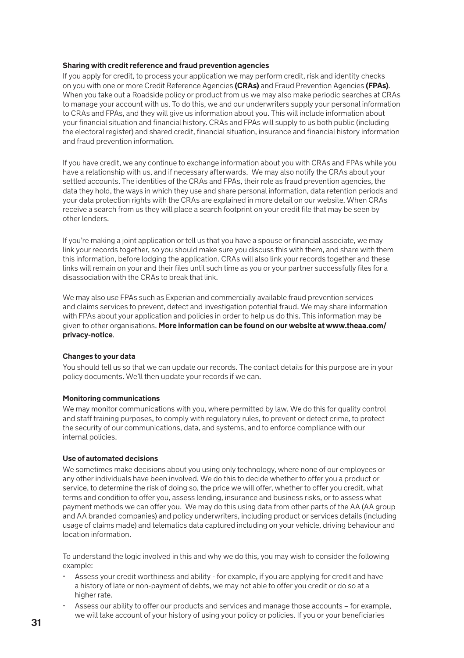#### **Sharing with credit reference and fraud prevention agencies**

If you apply for credit, to process your application we may perform credit, risk and identity checks on you with one or more Credit Reference Agencies **(CRAs)** and Fraud Prevention Agencies **(FPAs)**. When you take out a Roadside policy or product from us we may also make periodic searches at CRAs to manage your account with us. To do this, we and our underwriters supply your personal information to CRAs and FPAs, and they will give us information about you. This will include information about your financial situation and financial history. CRAs and FPAs will supply to us both public (including the electoral register) and shared credit, financial situation, insurance and financial history information and fraud prevention information.

If you have credit, we any continue to exchange information about you with CRAs and FPAs while you have a relationship with us, and if necessary afterwards. We may also notify the CRAs about your settled accounts. The identities of the CRAs and FPAs, their role as fraud prevention agencies, the data they hold, the ways in which they use and share personal information, data retention periods and your data protection rights with the CRAs are explained in more detail on our website. When CRAs receive a search from us they will place a search footprint on your credit file that may be seen by other lenders.

If you're making a joint application or tell us that you have a spouse or financial associate, we may link your records together, so you should make sure you discuss this with them, and share with them this information, before lodging the application. CRAs will also link your records together and these links will remain on your and their files until such time as you or your partner successfully files for a disassociation with the CRAs to break that link.

We may also use FPAs such as Experian and commercially available fraud prevention services and claims services to prevent, detect and investigation potential fraud. We may share information with FPAs about your application and policies in order to help us do this. This information may be given to other organisations. **More information can be found on our website at www.theaa.com/ privacy-notice**.

### **Changes to your data**

You should tell us so that we can update our records. The contact details for this purpose are in your policy documents. We'll then update your records if we can.

### **Monitoring communications**

We may monitor communications with you, where permitted by law. We do this for quality control and staff training purposes, to comply with regulatory rules, to prevent or detect crime, to protect the security of our communications, data, and systems, and to enforce compliance with our internal policies.

#### **Use of automated decisions**

We sometimes make decisions about you using only technology, where none of our employees or any other individuals have been involved. We do this to decide whether to offer you a product or service, to determine the risk of doing so, the price we will offer, whether to offer you credit, what terms and condition to offer you, assess lending, insurance and business risks, or to assess what payment methods we can offer you. We may do this using data from other parts of the AA (AA group and AA branded companies) and policy underwriters, including product or services details (including usage of claims made) and telematics data captured including on your vehicle, driving behaviour and location information.

To understand the logic involved in this and why we do this, you may wish to consider the following example:

- Assess your credit worthiness and ability for example, if you are applying for credit and have a history of late or non-payment of debts, we may not able to offer you credit or do so at a higher rate.
- Assess our ability to offer our products and services and manage those accounts for example, we will take account of your history of using your policy or policies. If you or your beneficiaries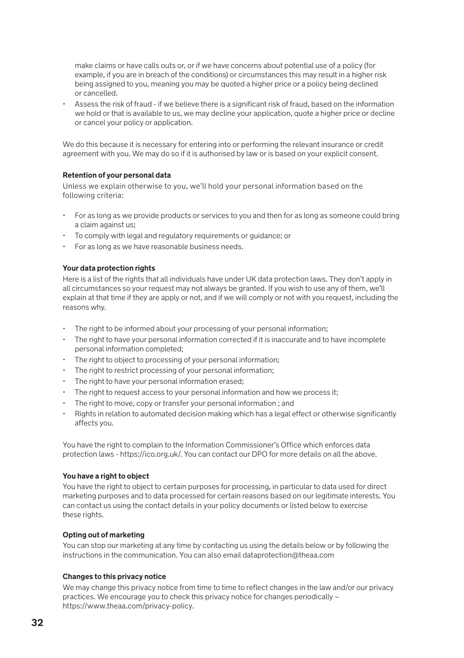make claims or have calls outs or, or if we have concerns about potential use of a policy (for example, if you are in breach of the conditions) or circumstances this may result in a higher risk being assigned to you, meaning you may be quoted a higher price or a policy being declined or cancelled.

• Assess the risk of fraud - if we believe there is a significant risk of fraud, based on the information we hold or that is available to us, we may decline your application, quote a higher price or decline or cancel your policy or application.

We do this because it is necessary for entering into or performing the relevant insurance or credit agreement with you. We may do so if it is authorised by law or is based on your explicit consent.

#### **Retention of your personal data**

Unless we explain otherwise to you, we'll hold your personal information based on the following criteria:

- For as long as we provide products or services to you and then for as long as someone could bring a claim against us;
- To comply with legal and regulatory requirements or guidance; or
- For as long as we have reasonable business needs.

#### **Your data protection rights**

Here is a list of the rights that all individuals have under UK data protection laws. They don't apply in all circumstances so your request may not always be granted. If you wish to use any of them, we'll explain at that time if they are apply or not, and if we will comply or not with you request, including the reasons why.

- The right to be informed about your processing of your personal information;
- The right to have your personal information corrected if it is inaccurate and to have incomplete personal information completed;
- The right to object to processing of your personal information:
- The right to restrict processing of your personal information;
- The right to have your personal information erased:
- The right to request access to your personal information and how we process it:
- The right to move, copy or transfer your personal information ; and
- Rights in relation to automated decision making which has a legal effect or otherwise significantly affects you.

You have the right to complain to the Information Commissioner's Office which enforces data protection laws - https://ico.org.uk/. You can contact our DPO for more details on all the above.

#### **You have a right to object**

You have the right to object to certain purposes for processing, in particular to data used for direct marketing purposes and to data processed for certain reasons based on our legitimate interests. You can contact us using the contact details in your policy documents or listed below to exercise these rights.

### **Opting out of marketing**

You can stop our marketing at any time by contacting us using the details below or by following the instructions in the communication. You can also email dataprotection@theaa.com

#### **Changes to this privacy notice**

We may change this privacy notice from time to time to reflect changes in the law and/or our privacy practices. We encourage you to check this privacy notice for changes periodically – https://www.theaa.com/privacy-policy.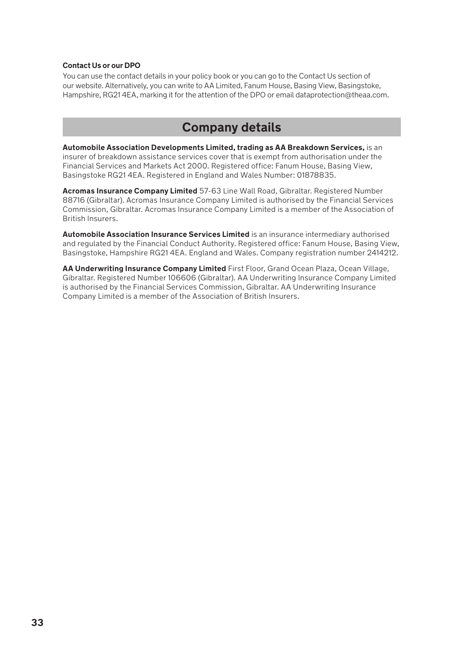#### **Contact Us or our DPO**

You can use the contact details in your policy book or you can go to the Contact Us section of our website. Alternatively, you can write to AA Limited, Fanum House, Basing View, Basingstoke, Hampshire, RG21 4EA, marking it for the attention of the DPO or email dataprotection@theaa.com.

### **Company details**

**Automobile Association Developments Limited, trading as AA Breakdown Services,** is an insurer of breakdown assistance services cover that is exempt from authorisation under the Financial Services and Markets Act 2000. Registered office: Fanum House, Basing View, Basingstoke RG21 4EA. Registered in England and Wales Number: 01878835.

**Acromas Insurance Company Limited** 57-63 Line Wall Road, Gibraltar. Registered Number 88716 (Gibraltar). Acromas Insurance Company Limited is authorised by the Financial Services Commission, Gibraltar. Acromas Insurance Company Limited is a member of the Association of British Insurers.

**Automobile Association Insurance Services Limited** is an insurance intermediary authorised and regulated by the Financial Conduct Authority. Registered office: Fanum House, Basing View, Basingstoke, Hampshire RG21 4EA. England and Wales. Company registration number 2414212.

**AA Underwriting Insurance Company Limited** First Floor, Grand Ocean Plaza, Ocean Village, Gibraltar. Registered Number 106606 (Gibraltar). AA Underwriting Insurance Company Limited is authorised by the Financial Services Commission, Gibraltar. AA Underwriting Insurance Company Limited is a member of the Association of British Insurers.